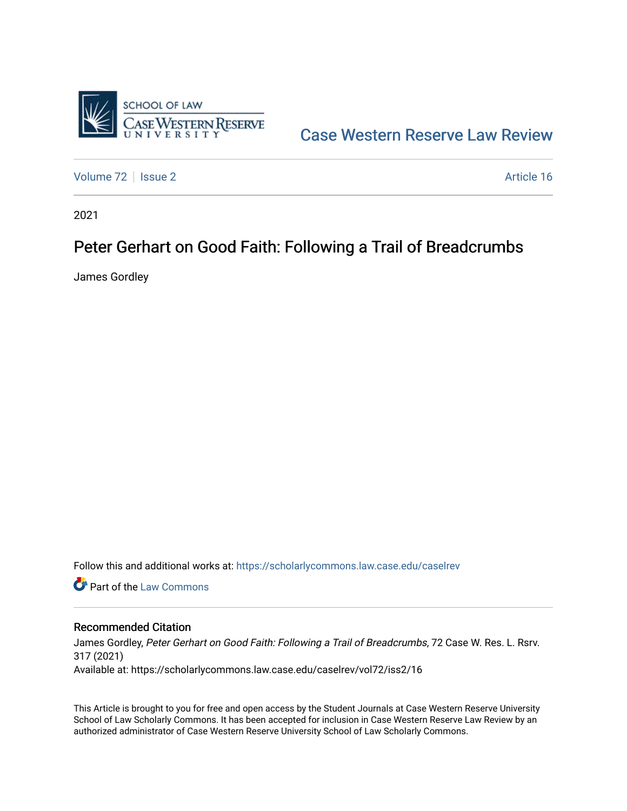

[Case Western Reserve Law Review](https://scholarlycommons.law.case.edu/caselrev) 

[Volume 72](https://scholarlycommons.law.case.edu/caselrev/vol72) | [Issue 2](https://scholarlycommons.law.case.edu/caselrev/vol72/iss2) Article 16

2021

# Peter Gerhart on Good Faith: Following a Trail of Breadcrumbs

James Gordley

Follow this and additional works at: [https://scholarlycommons.law.case.edu/caselrev](https://scholarlycommons.law.case.edu/caselrev?utm_source=scholarlycommons.law.case.edu%2Fcaselrev%2Fvol72%2Fiss2%2F16&utm_medium=PDF&utm_campaign=PDFCoverPages)

**C** Part of the [Law Commons](https://network.bepress.com/hgg/discipline/578?utm_source=scholarlycommons.law.case.edu%2Fcaselrev%2Fvol72%2Fiss2%2F16&utm_medium=PDF&utm_campaign=PDFCoverPages)

# Recommended Citation

James Gordley, Peter Gerhart on Good Faith: Following a Trail of Breadcrumbs, 72 Case W. Res. L. Rsrv. 317 (2021) Available at: https://scholarlycommons.law.case.edu/caselrev/vol72/iss2/16

This Article is brought to you for free and open access by the Student Journals at Case Western Reserve University School of Law Scholarly Commons. It has been accepted for inclusion in Case Western Reserve Law Review by an authorized administrator of Case Western Reserve University School of Law Scholarly Commons.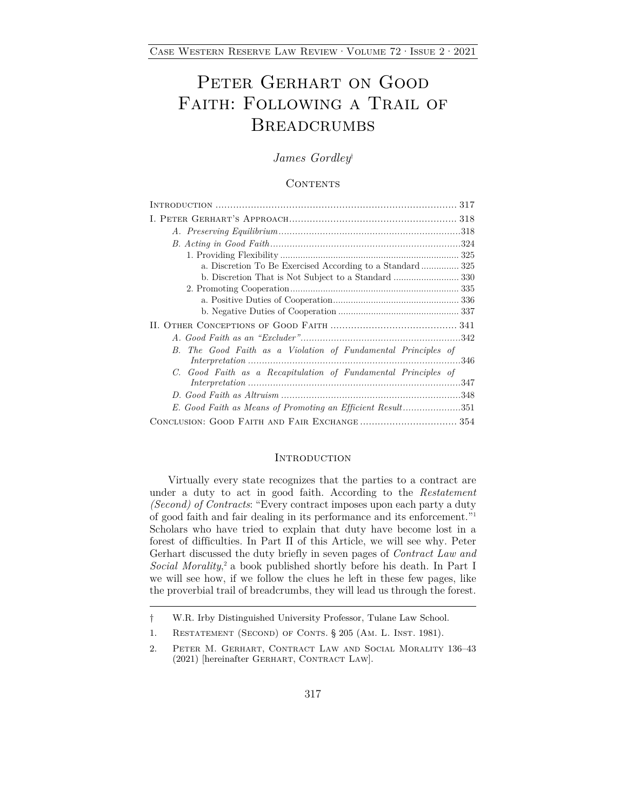# Peter Gerhart on Good Faith: Following a Trail of **BREADCRUMBS**

# *James Gordley*†

# **CONTENTS**

| a. Discretion To Be Exercised According to a Standard 325      |  |
|----------------------------------------------------------------|--|
|                                                                |  |
|                                                                |  |
|                                                                |  |
|                                                                |  |
|                                                                |  |
|                                                                |  |
| B. The Good Faith as a Violation of Fundamental Principles of  |  |
| C. Good Faith as a Recapitulation of Fundamental Principles of |  |
|                                                                |  |
| E. Good Faith as Means of Promoting an Efficient Result351     |  |
|                                                                |  |

# **INTRODUCTION**

Virtually every state recognizes that the parties to a contract are under a duty to act in good faith. According to the *Restatement (Second) of Contracts*: "Every contract imposes upon each party a duty of good faith and fair dealing in its performance and its enforcement."1 Scholars who have tried to explain that duty have become lost in a forest of difficulties. In Part II of this Article, we will see why. Peter Gerhart discussed the duty briefly in seven pages of *Contract Law and*  Social Morality,<sup>2</sup> a book published shortly before his death. In Part I we will see how, if we follow the clues he left in these few pages, like the proverbial trail of breadcrumbs, they will lead us through the forest.

<sup>†</sup> W.R. Irby Distinguished University Professor, Tulane Law School.

<sup>1.</sup> Restatement (Second) of Conts*.* § 205 (Am. L. Inst. 1981).

<sup>2.</sup> Peter M. Gerhart, Contract Law and Social Morality 136–43 (2021) [hereinafter GERHART, CONTRACT LAW].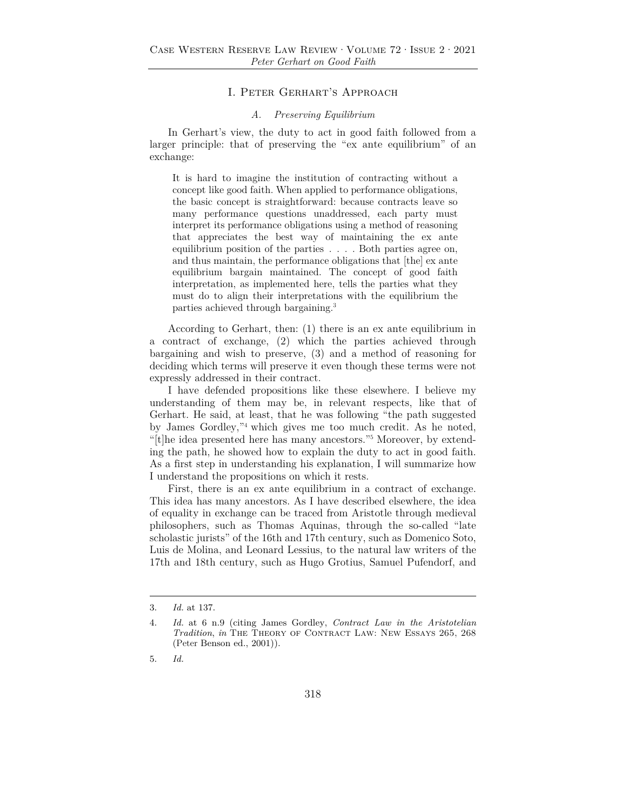# I. Peter Gerhart's Approach

#### *A. Preserving Equilibrium*

In Gerhart's view, the duty to act in good faith followed from a larger principle: that of preserving the "ex ante equilibrium" of an exchange:

It is hard to imagine the institution of contracting without a concept like good faith. When applied to performance obligations, the basic concept is straightforward: because contracts leave so many performance questions unaddressed, each party must interpret its performance obligations using a method of reasoning that appreciates the best way of maintaining the ex ante equilibrium position of the parties . . . . Both parties agree on, and thus maintain, the performance obligations that [the] ex ante equilibrium bargain maintained. The concept of good faith interpretation, as implemented here, tells the parties what they must do to align their interpretations with the equilibrium the parties achieved through bargaining.3

According to Gerhart, then: (1) there is an ex ante equilibrium in a contract of exchange, (2) which the parties achieved through bargaining and wish to preserve, (3) and a method of reasoning for deciding which terms will preserve it even though these terms were not expressly addressed in their contract.

I have defended propositions like these elsewhere. I believe my understanding of them may be, in relevant respects, like that of Gerhart. He said, at least, that he was following "the path suggested by James Gordley,"4 which gives me too much credit. As he noted, "[t]he idea presented here has many ancestors."5 Moreover, by extending the path, he showed how to explain the duty to act in good faith. As a first step in understanding his explanation, I will summarize how I understand the propositions on which it rests.

First, there is an ex ante equilibrium in a contract of exchange. This idea has many ancestors. As I have described elsewhere, the idea of equality in exchange can be traced from Aristotle through medieval philosophers, such as Thomas Aquinas, through the so-called "late scholastic jurists" of the 16th and 17th century, such as Domenico Soto, Luis de Molina, and Leonard Lessius, to the natural law writers of the 17th and 18th century, such as Hugo Grotius, Samuel Pufendorf, and

<sup>3.</sup> *Id.* at 137.

<sup>4.</sup> *Id.* at 6 n.9 (citing James Gordley, *Contract Law in the Aristotelian Tradition, in* THE THEORY OF CONTRACT LAW: NEW ESSAYS 265, 268 (Peter Benson ed., 2001)).

<sup>5.</sup> *Id.*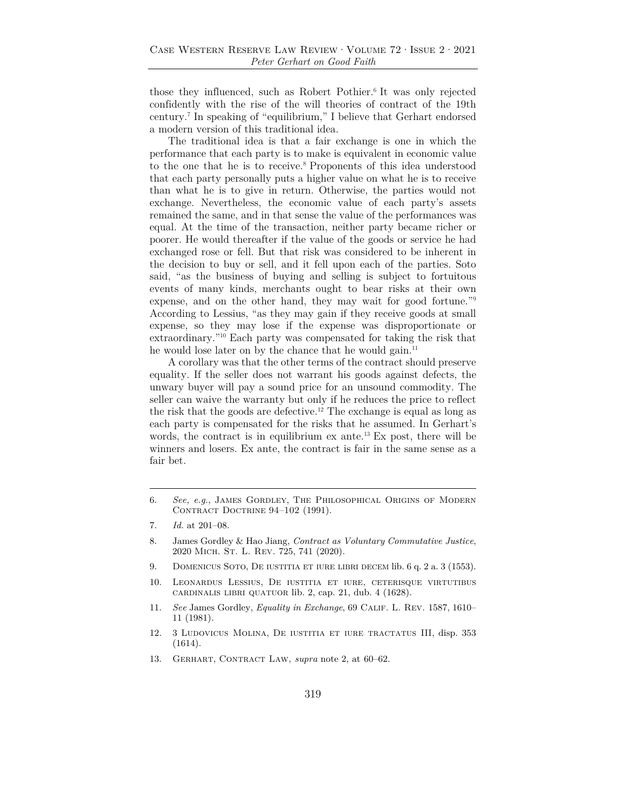those they influenced, such as Robert Pothier.<sup>6</sup> It was only rejected confidently with the rise of the will theories of contract of the 19th century.7 In speaking of "equilibrium," I believe that Gerhart endorsed a modern version of this traditional idea.

The traditional idea is that a fair exchange is one in which the performance that each party is to make is equivalent in economic value to the one that he is to receive.8 Proponents of this idea understood that each party personally puts a higher value on what he is to receive than what he is to give in return. Otherwise, the parties would not exchange. Nevertheless, the economic value of each party's assets remained the same, and in that sense the value of the performances was equal. At the time of the transaction, neither party became richer or poorer. He would thereafter if the value of the goods or service he had exchanged rose or fell. But that risk was considered to be inherent in the decision to buy or sell, and it fell upon each of the parties. Soto said, "as the business of buying and selling is subject to fortuitous events of many kinds, merchants ought to bear risks at their own expense, and on the other hand, they may wait for good fortune."9 According to Lessius, "as they may gain if they receive goods at small expense, so they may lose if the expense was disproportionate or extraordinary."10 Each party was compensated for taking the risk that he would lose later on by the chance that he would gain.<sup>11</sup>

A corollary was that the other terms of the contract should preserve equality. If the seller does not warrant his goods against defects, the unwary buyer will pay a sound price for an unsound commodity. The seller can waive the warranty but only if he reduces the price to reflect the risk that the goods are defective.12 The exchange is equal as long as each party is compensated for the risks that he assumed. In Gerhart's words, the contract is in equilibrium ex ante.<sup>13</sup> Ex post, there will be winners and losers. Ex ante, the contract is fair in the same sense as a fair bet.

- 10. Leonardus Lessius, De iustitia et iure, ceterisque virtutibus cardinalis libri quatuor lib. 2, cap. 21, dub. 4 (1628).
- 11. *See* James Gordley, *Equality in Exchange*, 69 Calif. L. Rev. 1587, 1610– 11 (1981).
- 12. 3 Ludovicus Molina, De iustitia et iure tractatus III, disp. 353 (1614).
- 13. Gerhart, Contract Law, *supra* note 2, at 60–62.

<sup>6.</sup> *See, e.g.*, James Gordley, The Philosophical Origins of Modern CONTRACT DOCTRINE 94-102 (1991).

<sup>7.</sup> *Id.* at 201–08.

<sup>8.</sup> James Gordley & Hao Jiang, *Contract as Voluntary Commutative Justice*, 2020 Mich. St. L. Rev. 725, 741 (2020).

<sup>9.</sup> Domenicus Soto, De iustitia et iure libri decem lib. 6 q. 2 a. 3 (1553).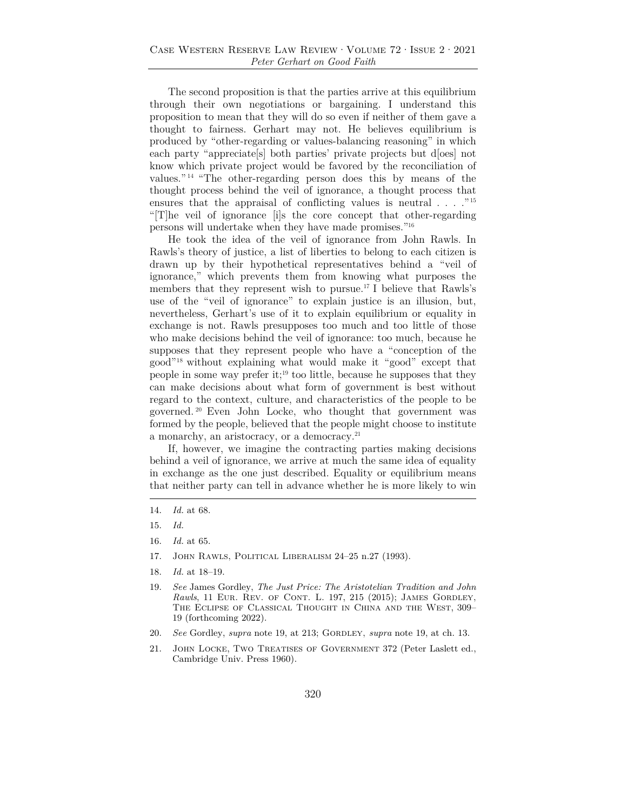The second proposition is that the parties arrive at this equilibrium through their own negotiations or bargaining. I understand this proposition to mean that they will do so even if neither of them gave a thought to fairness. Gerhart may not. He believes equilibrium is produced by "other-regarding or values-balancing reasoning" in which each party "appreciates" both parties' private projects but does not know which private project would be favored by the reconciliation of values." 14 "The other-regarding person does this by means of the thought process behind the veil of ignorance, a thought process that ensures that the appraisal of conflicting values is neutral  $\dots$ ."<sup>15</sup> "[T]he veil of ignorance [i]s the core concept that other-regarding persons will undertake when they have made promises."16

He took the idea of the veil of ignorance from John Rawls. In Rawls's theory of justice, a list of liberties to belong to each citizen is drawn up by their hypothetical representatives behind a "veil of ignorance," which prevents them from knowing what purposes the members that they represent wish to pursue.17 I believe that Rawls's use of the "veil of ignorance" to explain justice is an illusion, but, nevertheless, Gerhart's use of it to explain equilibrium or equality in exchange is not. Rawls presupposes too much and too little of those who make decisions behind the veil of ignorance: too much, because he supposes that they represent people who have a "conception of the good"18 without explaining what would make it "good" except that people in some way prefer it;19 too little, because he supposes that they can make decisions about what form of government is best without regard to the context, culture, and characteristics of the people to be governed. 20 Even John Locke, who thought that government was formed by the people, believed that the people might choose to institute a monarchy, an aristocracy, or a democracy.21

If, however, we imagine the contracting parties making decisions behind a veil of ignorance, we arrive at much the same idea of equality in exchange as the one just described. Equality or equilibrium means that neither party can tell in advance whether he is more likely to win

- 17. John Rawls, Political Liberalism 24–25 n.27 (1993).
- 18. *Id.* at 18–19.
- 19. *See* James Gordley, *The Just Price: The Aristotelian Tradition and John Rawls*, 11 EUR. REV. OF CONT. L. 197, 215 (2015); JAMES GORDLEY, The Eclipse of Classical Thought in China and the West, 309– 19 (forthcoming 2022).
- 20. *See* Gordley, *supra* note 19, at 213; Gordley, *supra* note 19, at ch. 13.
- 21. John Locke, Two Treatises of Government 372 (Peter Laslett ed., Cambridge Univ. Press 1960).

<sup>14.</sup> *Id.* at 68.

<sup>15.</sup> *Id.* 

<sup>16.</sup> *Id.* at 65.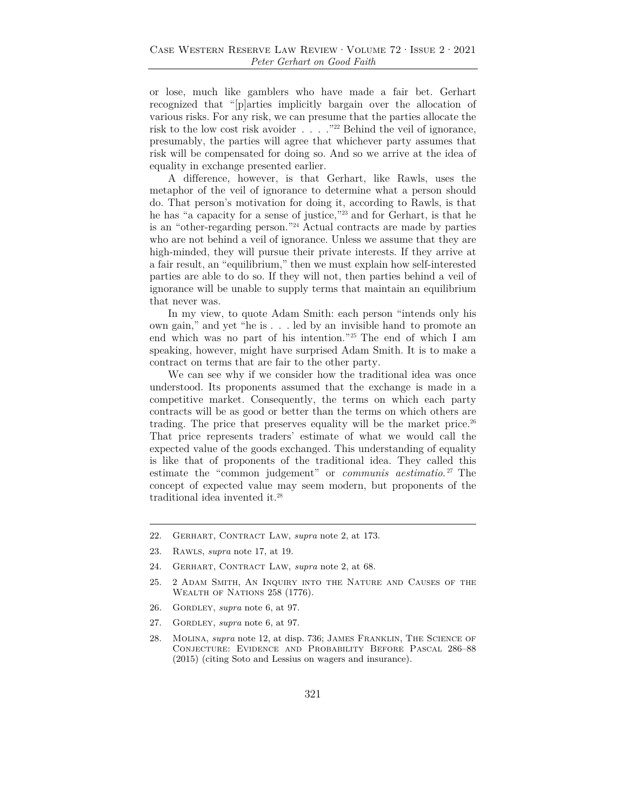or lose, much like gamblers who have made a fair bet. Gerhart recognized that "[p]arties implicitly bargain over the allocation of various risks. For any risk, we can presume that the parties allocate the risk to the low cost risk avoider . . . ."22 Behind the veil of ignorance, presumably, the parties will agree that whichever party assumes that risk will be compensated for doing so. And so we arrive at the idea of equality in exchange presented earlier.

A difference, however, is that Gerhart, like Rawls, uses the metaphor of the veil of ignorance to determine what a person should do. That person's motivation for doing it, according to Rawls, is that he has "a capacity for a sense of justice,"23 and for Gerhart, is that he is an "other-regarding person."24 Actual contracts are made by parties who are not behind a veil of ignorance. Unless we assume that they are high-minded, they will pursue their private interests. If they arrive at a fair result, an "equilibrium," then we must explain how self-interested parties are able to do so. If they will not, then parties behind a veil of ignorance will be unable to supply terms that maintain an equilibrium that never was.

In my view, to quote Adam Smith: each person "intends only his own gain," and yet "he is . . . led by an invisible hand to promote an end which was no part of his intention."25 The end of which I am speaking, however, might have surprised Adam Smith. It is to make a contract on terms that are fair to the other party.

We can see why if we consider how the traditional idea was once understood. Its proponents assumed that the exchange is made in a competitive market. Consequently, the terms on which each party contracts will be as good or better than the terms on which others are trading. The price that preserves equality will be the market price.<sup>26</sup> That price represents traders' estimate of what we would call the expected value of the goods exchanged. This understanding of equality is like that of proponents of the traditional idea. They called this estimate the "common judgement" or *communis aestimatio*. 27 The concept of expected value may seem modern, but proponents of the traditional idea invented it.28

- 25. 2 Adam Smith, An Inquiry into the Nature and Causes of the WEALTH OF NATIONS 258 (1776).
- 26. Gordley, *supra* note 6, at 97.
- 27. Gordley, *supra* note 6, at 97.
- 28. Molina, *supra* note 12, at disp. 736; James Franklin, The Science of Conjecture: Evidence and Probability Before Pascal 286–88 (2015) (citing Soto and Lessius on wagers and insurance).

<sup>22.</sup> Gerhart, Contract Law, *supra* note 2, at 173.

<sup>23.</sup> Rawls, *supra* note 17, at 19.

<sup>24.</sup> Gerhart, Contract Law, *supra* note 2, at 68.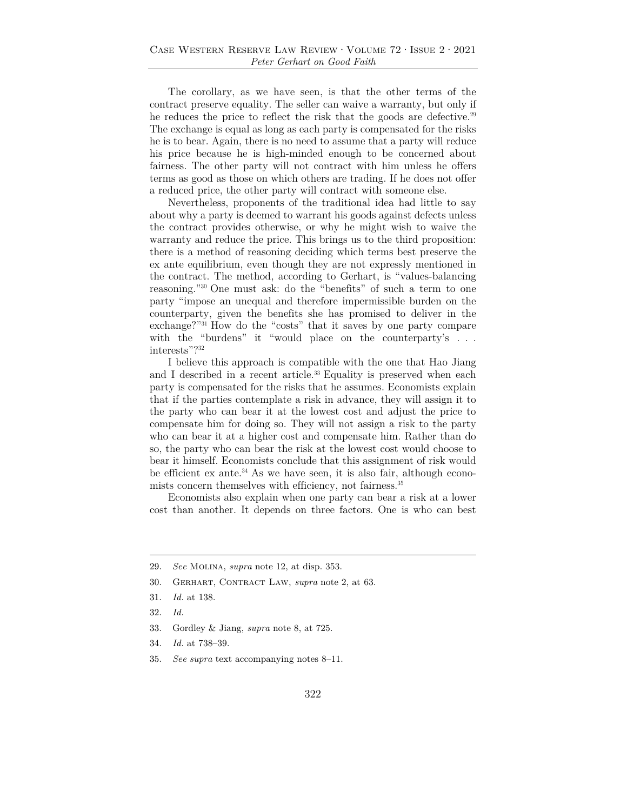The corollary, as we have seen, is that the other terms of the contract preserve equality. The seller can waive a warranty, but only if he reduces the price to reflect the risk that the goods are defective.<sup>29</sup> The exchange is equal as long as each party is compensated for the risks he is to bear. Again, there is no need to assume that a party will reduce his price because he is high-minded enough to be concerned about fairness. The other party will not contract with him unless he offers terms as good as those on which others are trading. If he does not offer a reduced price, the other party will contract with someone else.

Nevertheless, proponents of the traditional idea had little to say about why a party is deemed to warrant his goods against defects unless the contract provides otherwise, or why he might wish to waive the warranty and reduce the price. This brings us to the third proposition: there is a method of reasoning deciding which terms best preserve the ex ante equilibrium, even though they are not expressly mentioned in the contract. The method, according to Gerhart, is "values-balancing reasoning."30 One must ask: do the "benefits" of such a term to one party "impose an unequal and therefore impermissible burden on the counterparty, given the benefits she has promised to deliver in the exchange?"31 How do the "costs" that it saves by one party compare with the "burdens" it "would place on the counterparty's ... interests"?32

I believe this approach is compatible with the one that Hao Jiang and I described in a recent article.<sup>33</sup> Equality is preserved when each party is compensated for the risks that he assumes. Economists explain that if the parties contemplate a risk in advance, they will assign it to the party who can bear it at the lowest cost and adjust the price to compensate him for doing so. They will not assign a risk to the party who can bear it at a higher cost and compensate him. Rather than do so, the party who can bear the risk at the lowest cost would choose to bear it himself. Economists conclude that this assignment of risk would be efficient ex ante. $34$  As we have seen, it is also fair, although economists concern themselves with efficiency, not fairness.<sup>35</sup>

 Economists also explain when one party can bear a risk at a lower cost than another. It depends on three factors. One is who can best

- 32. *Id.*
- 33. Gordley & Jiang, *supra* note 8, at 725.
- 34. *Id.* at 738–39.
- 35. *See supra* text accompanying notes 8–11.

<sup>29.</sup> *See* Molina, *supra* note 12, at disp. 353.

<sup>30.</sup> Gerhart, Contract Law, *supra* note 2, at 63.

<sup>31.</sup> *Id.* at 138.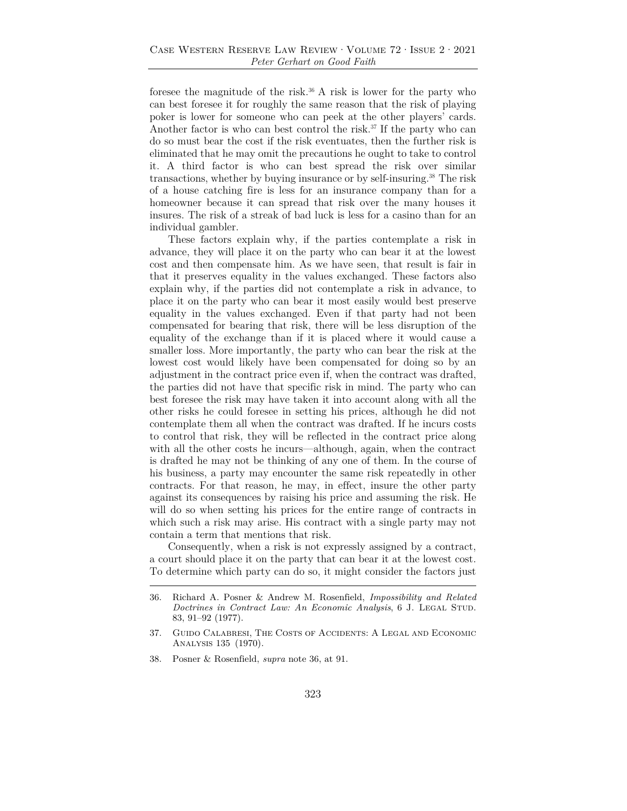foresee the magnitude of the risk.36 A risk is lower for the party who can best foresee it for roughly the same reason that the risk of playing poker is lower for someone who can peek at the other players' cards. Another factor is who can best control the risk.<sup>37</sup> If the party who can do so must bear the cost if the risk eventuates, then the further risk is eliminated that he may omit the precautions he ought to take to control it. A third factor is who can best spread the risk over similar transactions, whether by buying insurance or by self-insuring.38 The risk of a house catching fire is less for an insurance company than for a homeowner because it can spread that risk over the many houses it insures. The risk of a streak of bad luck is less for a casino than for an individual gambler.

These factors explain why, if the parties contemplate a risk in advance, they will place it on the party who can bear it at the lowest cost and then compensate him. As we have seen, that result is fair in that it preserves equality in the values exchanged. These factors also explain why, if the parties did not contemplate a risk in advance, to place it on the party who can bear it most easily would best preserve equality in the values exchanged. Even if that party had not been compensated for bearing that risk, there will be less disruption of the equality of the exchange than if it is placed where it would cause a smaller loss. More importantly, the party who can bear the risk at the lowest cost would likely have been compensated for doing so by an adjustment in the contract price even if, when the contract was drafted, the parties did not have that specific risk in mind. The party who can best foresee the risk may have taken it into account along with all the other risks he could foresee in setting his prices, although he did not contemplate them all when the contract was drafted. If he incurs costs to control that risk, they will be reflected in the contract price along with all the other costs he incurs—although, again, when the contract is drafted he may not be thinking of any one of them. In the course of his business, a party may encounter the same risk repeatedly in other contracts. For that reason, he may, in effect, insure the other party against its consequences by raising his price and assuming the risk. He will do so when setting his prices for the entire range of contracts in which such a risk may arise. His contract with a single party may not contain a term that mentions that risk.

Consequently, when a risk is not expressly assigned by a contract, a court should place it on the party that can bear it at the lowest cost. To determine which party can do so, it might consider the factors just

<sup>36.</sup> Richard A. Posner & Andrew M. Rosenfield, *Impossibility and Related Doctrines in Contract Law: An Economic Analysis*, 6 J. LEGAL STUD. 83, 91–92 (1977).

<sup>37.</sup> Guido Calabresi, The Costs of Accidents: A Legal and Economic Analysis 135 (1970).

<sup>38.</sup> Posner & Rosenfield, *supra* note 36, at 91.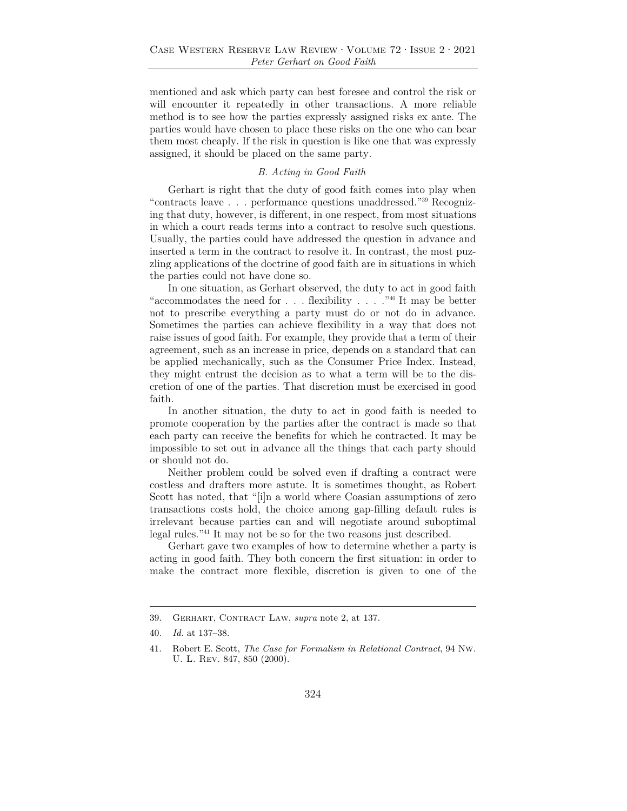mentioned and ask which party can best foresee and control the risk or will encounter it repeatedly in other transactions. A more reliable method is to see how the parties expressly assigned risks ex ante. The parties would have chosen to place these risks on the one who can bear them most cheaply. If the risk in question is like one that was expressly assigned, it should be placed on the same party.

# *B. Acting in Good Faith*

Gerhart is right that the duty of good faith comes into play when "contracts leave . . . performance questions unaddressed."39 Recognizing that duty, however, is different, in one respect, from most situations in which a court reads terms into a contract to resolve such questions. Usually, the parties could have addressed the question in advance and inserted a term in the contract to resolve it. In contrast, the most puzzling applications of the doctrine of good faith are in situations in which the parties could not have done so.

In one situation, as Gerhart observed, the duty to act in good faith "accommodates the need for  $\dots$  flexibility  $\dots$ ."<sup>40</sup> It may be better not to prescribe everything a party must do or not do in advance. Sometimes the parties can achieve flexibility in a way that does not raise issues of good faith. For example, they provide that a term of their agreement, such as an increase in price, depends on a standard that can be applied mechanically, such as the Consumer Price Index. Instead, they might entrust the decision as to what a term will be to the discretion of one of the parties. That discretion must be exercised in good faith.

In another situation, the duty to act in good faith is needed to promote cooperation by the parties after the contract is made so that each party can receive the benefits for which he contracted. It may be impossible to set out in advance all the things that each party should or should not do.

Neither problem could be solved even if drafting a contract were costless and drafters more astute. It is sometimes thought, as Robert Scott has noted, that "[i]n a world where Coasian assumptions of zero transactions costs hold, the choice among gap-filling default rules is irrelevant because parties can and will negotiate around suboptimal legal rules."41 It may not be so for the two reasons just described.

Gerhart gave two examples of how to determine whether a party is acting in good faith. They both concern the first situation: in order to make the contract more flexible, discretion is given to one of the

<sup>39.</sup> Gerhart, Contract Law, *supra* note 2, at 137.

<sup>40</sup>*. Id.* at 137–38.

<sup>41.</sup> Robert E. Scott, *The Case for Formalism in Relational Contract*, 94 Nw. U. L. Rev. 847, 850 (2000).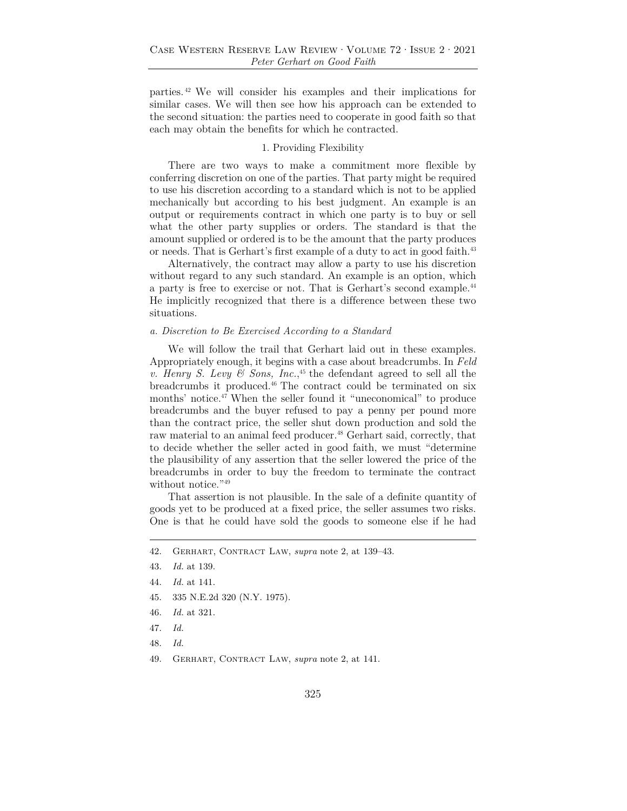parties. 42 We will consider his examples and their implications for similar cases. We will then see how his approach can be extended to the second situation: the parties need to cooperate in good faith so that each may obtain the benefits for which he contracted.

## 1. Providing Flexibility

There are two ways to make a commitment more flexible by conferring discretion on one of the parties. That party might be required to use his discretion according to a standard which is not to be applied mechanically but according to his best judgment. An example is an output or requirements contract in which one party is to buy or sell what the other party supplies or orders. The standard is that the amount supplied or ordered is to be the amount that the party produces or needs. That is Gerhart's first example of a duty to act in good faith.<sup>43</sup>

Alternatively, the contract may allow a party to use his discretion without regard to any such standard. An example is an option, which a party is free to exercise or not. That is Gerhart's second example.44 He implicitly recognized that there is a difference between these two situations.

# *a. Discretion to Be Exercised According to a Standard*

We will follow the trail that Gerhart laid out in these examples. Appropriately enough, it begins with a case about breadcrumbs. In *Feld v. Henry S. Levy & Sons, Inc.*, 45 the defendant agreed to sell all the breadcrumbs it produced.46 The contract could be terminated on six months' notice.47 When the seller found it "uneconomical" to produce breadcrumbs and the buyer refused to pay a penny per pound more than the contract price, the seller shut down production and sold the raw material to an animal feed producer.<sup>48</sup> Gerhart said, correctly, that to decide whether the seller acted in good faith, we must "determine the plausibility of any assertion that the seller lowered the price of the breadcrumbs in order to buy the freedom to terminate the contract without notice."<sup>49</sup>

That assertion is not plausible. In the sale of a definite quantity of goods yet to be produced at a fixed price, the seller assumes two risks. One is that he could have sold the goods to someone else if he had

- 44. *Id.* at 141.
- 45. 335 N.E.2d 320 (N.Y. 1975).
- 46. *Id.* at 321.
- 47. *Id.*
- 48. *Id.*
- 49. Gerhart, Contract Law, *supra* note 2, at 141.

<sup>42.</sup> Gerhart, Contract Law, *supra* note 2, at 139–43.

<sup>43.</sup> *Id.* at 139.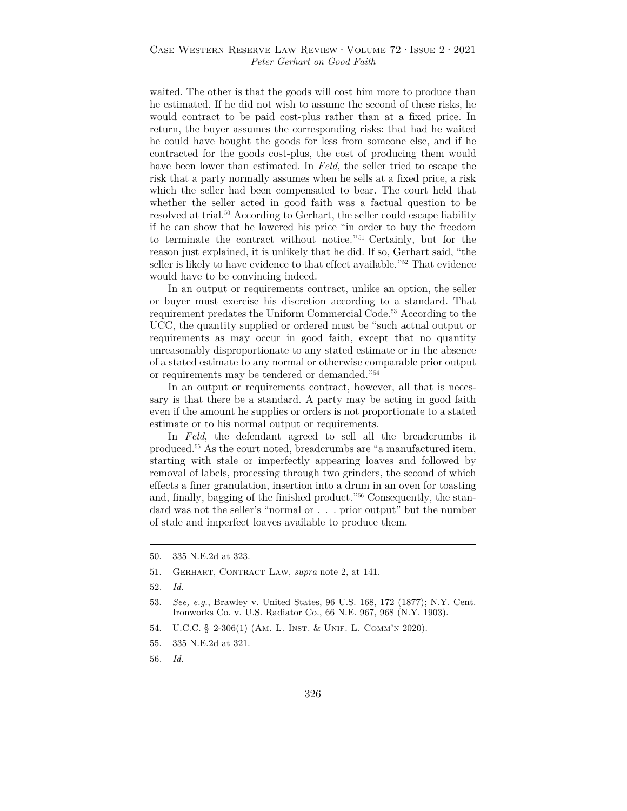waited. The other is that the goods will cost him more to produce than he estimated. If he did not wish to assume the second of these risks, he would contract to be paid cost-plus rather than at a fixed price. In return, the buyer assumes the corresponding risks: that had he waited he could have bought the goods for less from someone else, and if he contracted for the goods cost-plus, the cost of producing them would have been lower than estimated. In *Feld*, the seller tried to escape the risk that a party normally assumes when he sells at a fixed price, a risk which the seller had been compensated to bear. The court held that whether the seller acted in good faith was a factual question to be resolved at trial.<sup>50</sup> According to Gerhart, the seller could escape liability if he can show that he lowered his price "in order to buy the freedom to terminate the contract without notice." 51 Certainly, but for the reason just explained, it is unlikely that he did. If so, Gerhart said, "the seller is likely to have evidence to that effect available."52 That evidence would have to be convincing indeed.

In an output or requirements contract, unlike an option, the seller or buyer must exercise his discretion according to a standard. That requirement predates the Uniform Commercial Code.53 According to the UCC, the quantity supplied or ordered must be "such actual output or requirements as may occur in good faith, except that no quantity unreasonably disproportionate to any stated estimate or in the absence of a stated estimate to any normal or otherwise comparable prior output or requirements may be tendered or demanded."54

In an output or requirements contract, however, all that is necessary is that there be a standard. A party may be acting in good faith even if the amount he supplies or orders is not proportionate to a stated estimate or to his normal output or requirements.

In *Feld*, the defendant agreed to sell all the breadcrumbs it produced.55 As the court noted, breadcrumbs are "a manufactured item, starting with stale or imperfectly appearing loaves and followed by removal of labels, processing through two grinders, the second of which effects a finer granulation, insertion into a drum in an oven for toasting and, finally, bagging of the finished product."56 Consequently, the standard was not the seller's "normal or . . . prior output" but the number of stale and imperfect loaves available to produce them.

51. Gerhart, Contract Law, *supra* note 2, at 141.

- 53. *See, e.g.*, Brawley v. United States, 96 U.S. 168, 172 (1877); N.Y. Cent. Ironworks Co. v. U.S. Radiator Co., 66 N.E. 967, 968 (N.Y. 1903).
- 54. U.C.C. § 2-306(1) (Am. L. Inst. & Unif. L. Comm'n 2020).
- 55. 335 N.E.2d at 321.
- 56*. Id.*

<sup>50. 335</sup> N.E.2d at 323.

<sup>52</sup>*. Id.*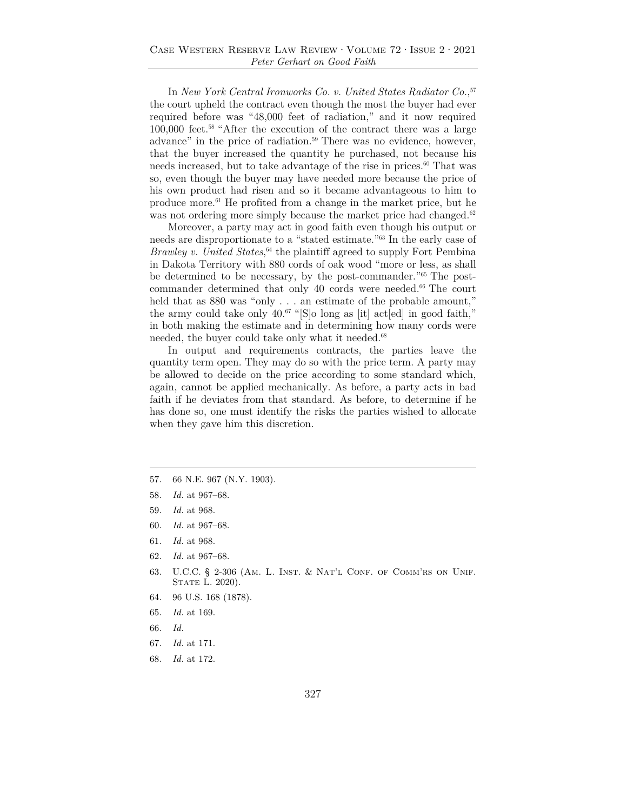In *New York Central Ironworks Co. v. United States Radiator Co.*, 57 the court upheld the contract even though the most the buyer had ever required before was "48,000 feet of radiation," and it now required 100,000 feet.58 "After the execution of the contract there was a large advance" in the price of radiation.<sup>59</sup> There was no evidence, however, that the buyer increased the quantity he purchased, not because his needs increased, but to take advantage of the rise in prices.<sup>60</sup> That was so, even though the buyer may have needed more because the price of his own product had risen and so it became advantageous to him to produce more.61 He profited from a change in the market price, but he was not ordering more simply because the market price had changed.<sup>62</sup>

Moreover, a party may act in good faith even though his output or needs are disproportionate to a "stated estimate."63 In the early case of *Brawley v. United States*, 64 the plaintiff agreed to supply Fort Pembina in Dakota Territory with 880 cords of oak wood "more or less, as shall be determined to be necessary, by the post-commander."65 The postcommander determined that only 40 cords were needed.<sup>66</sup> The court held that as 880 was "only . . . an estimate of the probable amount," the army could take only  $40.67$  "[S]o long as [it] act[ed] in good faith," in both making the estimate and in determining how many cords were needed, the buyer could take only what it needed.<sup>68</sup>

In output and requirements contracts, the parties leave the quantity term open. They may do so with the price term. A party may be allowed to decide on the price according to some standard which, again, cannot be applied mechanically. As before, a party acts in bad faith if he deviates from that standard. As before, to determine if he has done so, one must identify the risks the parties wished to allocate when they gave him this discretion.

- 57. 66 N.E. 967 (N.Y. 1903).
- 58. *Id.* at 967–68.
- 59. *Id.* at 968.
- 60. *Id.* at 967–68.
- 61. *Id.* at 968.
- 62. *Id.* at 967–68.
- 63. U.C.C. § 2-306 (AM. L. INST. & NAT'L CONF. OF COMM'RS ON UNIF. STATE L. 2020).
- 64. 96 U.S. 168 (1878).
- 65. *Id.* at 169.
- 66. *Id.*
- 67. *Id.* at 171.
- 68. *Id.* at 172.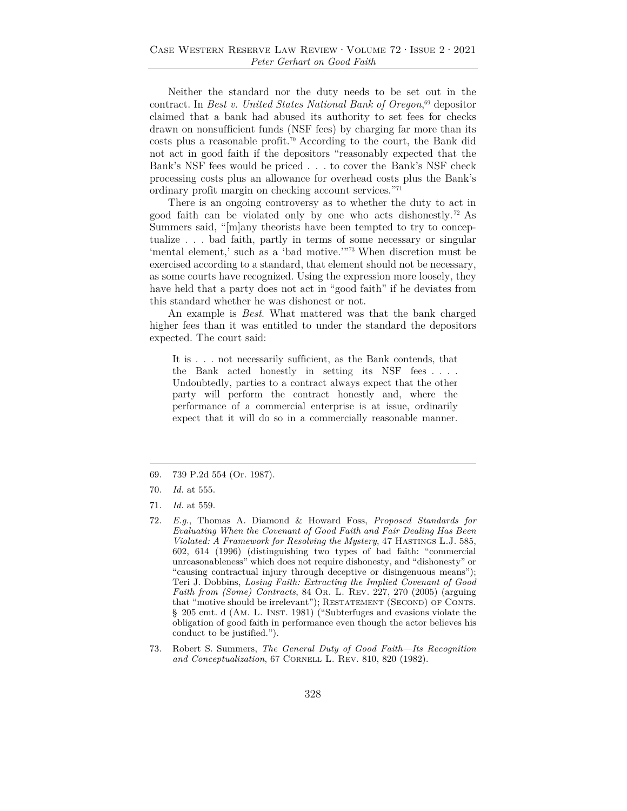Neither the standard nor the duty needs to be set out in the contract. In *Best v. United States National Bank of Oregon*, 69 depositor claimed that a bank had abused its authority to set fees for checks drawn on nonsufficient funds (NSF fees) by charging far more than its costs plus a reasonable profit.70 According to the court, the Bank did not act in good faith if the depositors "reasonably expected that the Bank's NSF fees would be priced . . . to cover the Bank's NSF check processing costs plus an allowance for overhead costs plus the Bank's ordinary profit margin on checking account services."71

There is an ongoing controversy as to whether the duty to act in good faith can be violated only by one who acts dishonestly. 72 As Summers said, "[m]any theorists have been tempted to try to conceptualize . . . bad faith, partly in terms of some necessary or singular 'mental element,' such as a 'bad motive.'"73 When discretion must be exercised according to a standard, that element should not be necessary, as some courts have recognized. Using the expression more loosely, they have held that a party does not act in "good faith" if he deviates from this standard whether he was dishonest or not.

An example is *Best*. What mattered was that the bank charged higher fees than it was entitled to under the standard the depositors expected. The court said:

It is . . . not necessarily sufficient, as the Bank contends, that the Bank acted honestly in setting its NSF fees . . . . Undoubtedly, parties to a contract always expect that the other party will perform the contract honestly and, where the performance of a commercial enterprise is at issue, ordinarily expect that it will do so in a commercially reasonable manner.

- 69. 739 P.2d 554 (Or. 1987).
- 70. *Id.* at 555.
- 71. *Id.* at 559.

<sup>72.</sup> *E.g.*, Thomas A. Diamond & Howard Foss, *Proposed Standards for Evaluating When the Covenant of Good Faith and Fair Dealing Has Been Violated: A Framework for Resolving the Mystery*, 47 HASTINGS L.J. 585, 602, 614 (1996) (distinguishing two types of bad faith: "commercial unreasonableness" which does not require dishonesty, and "dishonesty" or "causing contractual injury through deceptive or disingenuous means"); Teri J. Dobbins, *Losing Faith: Extracting the Implied Covenant of Good Faith from (Some) Contracts*, 84 Or. L. Rev. 227, 270 (2005) (arguing that "motive should be irrelevant"); RESTATEMENT (SECOND) OF CONTS. § 205 cmt. d (AM. L. INST. 1981) ("Subterfuges and evasions violate the obligation of good faith in performance even though the actor believes his conduct to be justified.").

<sup>73.</sup> Robert S. Summers, *The General Duty of Good Faith—Its Recognition*  and Conceptualization, 67 CORNELL L. REV. 810, 820 (1982).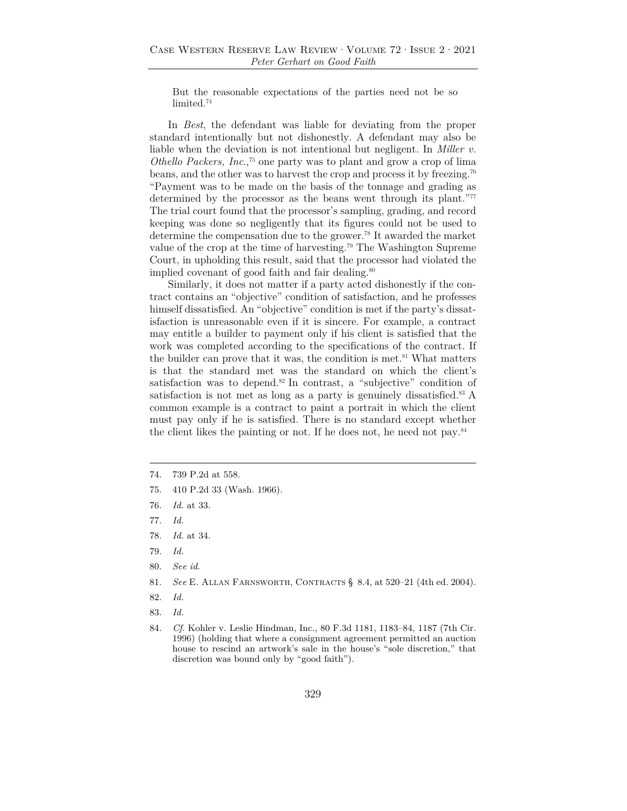But the reasonable expectations of the parties need not be so limited.<sup>74</sup>

In *Best*, the defendant was liable for deviating from the proper standard intentionally but not dishonestly. A defendant may also be liable when the deviation is not intentional but negligent. In *Miller v. Othello Packers, Inc.*<sup>75</sup> one party was to plant and grow a crop of lima beans, and the other was to harvest the crop and process it by freezing.76 "Payment was to be made on the basis of the tonnage and grading as determined by the processor as the beans went through its plant."<sup>77</sup> The trial court found that the processor's sampling, grading, and record keeping was done so negligently that its figures could not be used to determine the compensation due to the grower.78 It awarded the market value of the crop at the time of harvesting.79 The Washington Supreme Court, in upholding this result, said that the processor had violated the implied covenant of good faith and fair dealing.<sup>80</sup>

Similarly, it does not matter if a party acted dishonestly if the contract contains an "objective" condition of satisfaction, and he professes himself dissatisfied. An "objective" condition is met if the party's dissatisfaction is unreasonable even if it is sincere. For example, a contract may entitle a builder to payment only if his client is satisfied that the work was completed according to the specifications of the contract. If the builder can prove that it was, the condition is met.<sup>81</sup> What matters is that the standard met was the standard on which the client's satisfaction was to depend.<sup>82</sup> In contrast, a "subjective" condition of satisfaction is not met as long as a party is genuinely dissatisfied.<sup>83</sup> A common example is a contract to paint a portrait in which the client must pay only if he is satisfied. There is no standard except whether the client likes the painting or not. If he does not, he need not pay.84

- 76. *Id.* at 33.
- 77. *Id.*
- 78. *Id.* at 34.
- 79. *Id.*
- 80. *See id.*
- 81. *See* E. Allan Farnsworth, Contracts § 8.4, at 520–21 (4th ed. 2004).
- 82. *Id.*
- 83. *Id.*

<sup>74. 739</sup> P.2d at 558.

<sup>75. 410</sup> P.2d 33 (Wash. 1966).

<sup>84.</sup> *Cf.* Kohler v. Leslie Hindman, Inc., 80 F.3d 1181, 1183–84, 1187 (7th Cir. 1996) (holding that where a consignment agreement permitted an auction house to rescind an artwork's sale in the house's "sole discretion," that discretion was bound only by "good faith").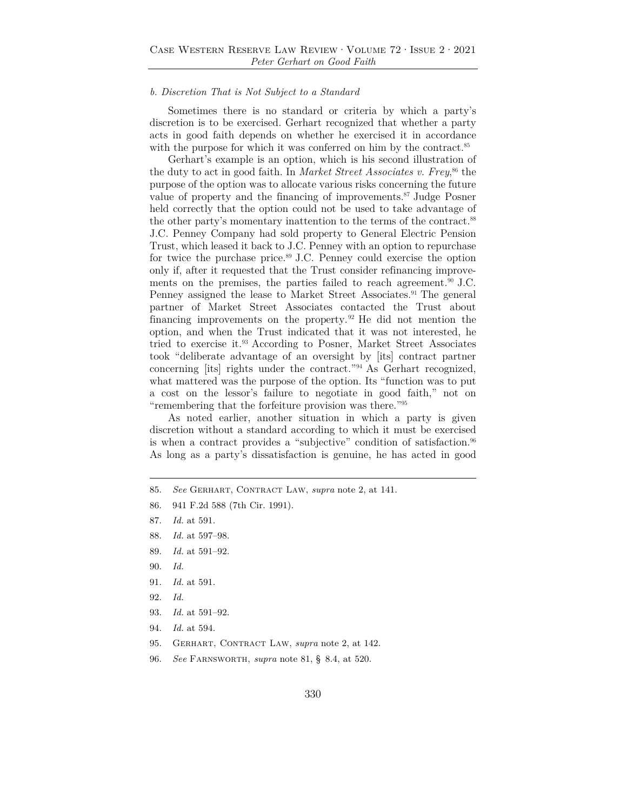## *b. Discretion That is Not Subject to a Standard*

Sometimes there is no standard or criteria by which a party's discretion is to be exercised. Gerhart recognized that whether a party acts in good faith depends on whether he exercised it in accordance with the purpose for which it was conferred on him by the contract.<sup>85</sup>

Gerhart's example is an option, which is his second illustration of the duty to act in good faith. In *Market Street Associates v. Frey*, 86 the purpose of the option was to allocate various risks concerning the future value of property and the financing of improvements.<sup>87</sup> Judge Posner held correctly that the option could not be used to take advantage of the other party's momentary inattention to the terms of the contract.88 J.C. Penney Company had sold property to General Electric Pension Trust, which leased it back to J.C. Penney with an option to repurchase for twice the purchase price.<sup>89</sup> J.C. Penney could exercise the option only if, after it requested that the Trust consider refinancing improvements on the premises, the parties failed to reach agreement.<sup>90</sup> J.C. Penney assigned the lease to Market Street Associates.<sup>91</sup> The general partner of Market Street Associates contacted the Trust about financing improvements on the property.92 He did not mention the option, and when the Trust indicated that it was not interested, he tried to exercise it.93 According to Posner, Market Street Associates took "deliberate advantage of an oversight by [its] contract partner concerning [its] rights under the contract."94 As Gerhart recognized, what mattered was the purpose of the option. Its "function was to put a cost on the lessor's failure to negotiate in good faith," not on "remembering that the forfeiture provision was there."95

As noted earlier, another situation in which a party is given discretion without a standard according to which it must be exercised is when a contract provides a "subjective" condition of satisfaction.96 As long as a party's dissatisfaction is genuine, he has acted in good

- 85. *See* GERHART, CONTRACT LAW, *supra* note 2, at 141.
- 86. 941 F.2d 588 (7th Cir. 1991).
- 87. *Id.* at 591.
- 88. *Id.* at 597–98.
- 89. *Id.* at 591–92.
- 90. *Id.*
- 91. *Id.* at 591.
- 92. *Id.*
- 93. *Id.* at 591–92.
- 94. *Id.* at 594.
- 95. GERHART, CONTRACT LAW, *supra* note 2, at 142.
- 96. *See* Farnsworth, *supra* note 81, § 8.4, at 520.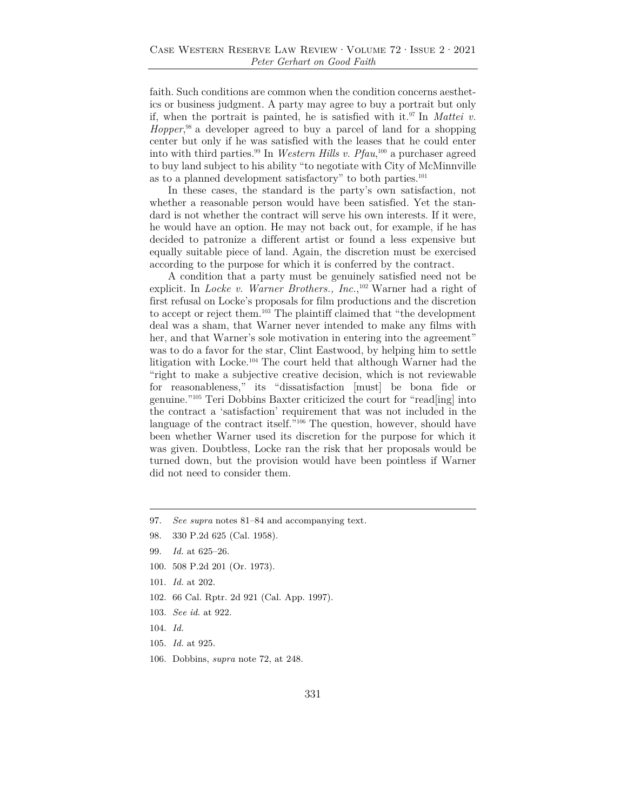faith. Such conditions are common when the condition concerns aesthetics or business judgment. A party may agree to buy a portrait but only if, when the portrait is painted, he is satisfied with it.97 In *Mattei v. Hopper*, 98 a developer agreed to buy a parcel of land for a shopping center but only if he was satisfied with the leases that he could enter into with third parties.99 In *Western Hills v. Pfau*, 100 a purchaser agreed to buy land subject to his ability "to negotiate with City of McMinnville as to a planned development satisfactory" to both parties.101

In these cases, the standard is the party's own satisfaction, not whether a reasonable person would have been satisfied. Yet the standard is not whether the contract will serve his own interests. If it were, he would have an option. He may not back out, for example, if he has decided to patronize a different artist or found a less expensive but equally suitable piece of land. Again, the discretion must be exercised according to the purpose for which it is conferred by the contract.

A condition that a party must be genuinely satisfied need not be explicit. In *Locke v. Warner Brothers.*, *Inc.*,<sup>102</sup> Warner had a right of first refusal on Locke's proposals for film productions and the discretion to accept or reject them.103 The plaintiff claimed that "the development deal was a sham, that Warner never intended to make any films with her, and that Warner's sole motivation in entering into the agreement" was to do a favor for the star, Clint Eastwood, by helping him to settle litigation with Locke.104 The court held that although Warner had the "right to make a subjective creative decision, which is not reviewable for reasonableness," its "dissatisfaction [must] be bona fide or genuine."105 Teri Dobbins Baxter criticized the court for "read[ing] into the contract a 'satisfaction' requirement that was not included in the language of the contract itself."<sup>106</sup> The question, however, should have been whether Warner used its discretion for the purpose for which it was given. Doubtless, Locke ran the risk that her proposals would be turned down, but the provision would have been pointless if Warner did not need to consider them.

- 101. *Id.* at 202.
- 102. 66 Cal. Rptr. 2d 921 (Cal. App. 1997).
- 103. *See id.* at 922.
- 104. *Id.*
- 105. *Id.* at 925.
- 106. Dobbins, *supra* note 72, at 248.

<sup>97.</sup> *See supra* notes 81–84 and accompanying text.

<sup>98. 330</sup> P.2d 625 (Cal. 1958).

<sup>99.</sup> *Id.* at 625–26.

<sup>100. 508</sup> P.2d 201 (Or. 1973).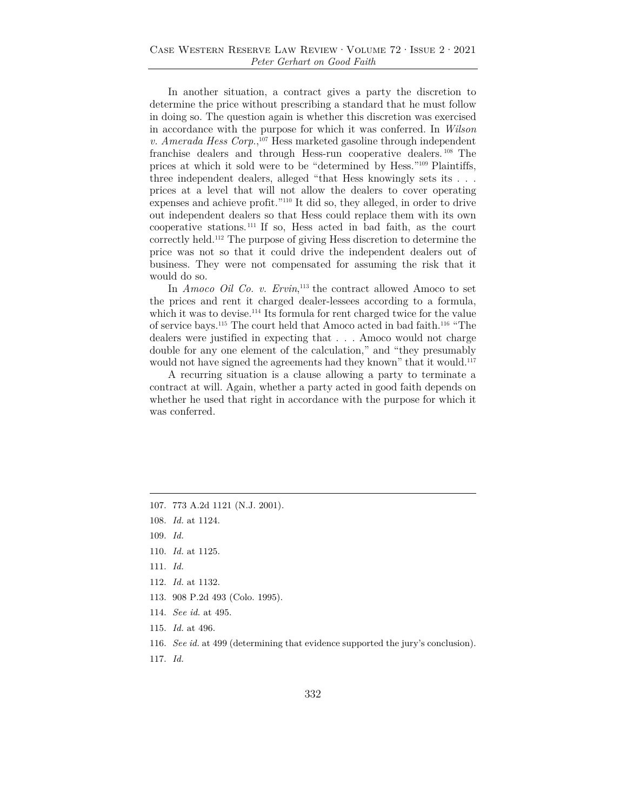In another situation, a contract gives a party the discretion to determine the price without prescribing a standard that he must follow in doing so. The question again is whether this discretion was exercised in accordance with the purpose for which it was conferred. In *Wilson v. Amerada Hess Corp.*,<sup>107</sup> Hess marketed gasoline through independent franchise dealers and through Hess-run cooperative dealers. 108 The prices at which it sold were to be "determined by Hess."109 Plaintiffs, three independent dealers, alleged "that Hess knowingly sets its . . . prices at a level that will not allow the dealers to cover operating expenses and achieve profit."110 It did so, they alleged, in order to drive out independent dealers so that Hess could replace them with its own cooperative stations. 111 If so, Hess acted in bad faith, as the court correctly held.112 The purpose of giving Hess discretion to determine the price was not so that it could drive the independent dealers out of business. They were not compensated for assuming the risk that it would do so.

In *Amoco Oil Co. v. Ervin*, 113 the contract allowed Amoco to set the prices and rent it charged dealer-lessees according to a formula, which it was to devise.<sup>114</sup> Its formula for rent charged twice for the value of service bays.115 The court held that Amoco acted in bad faith.116 "The dealers were justified in expecting that . . . Amoco would not charge double for any one element of the calculation," and "they presumably would not have signed the agreements had they known" that it would.<sup>117</sup>

A recurring situation is a clause allowing a party to terminate a contract at will. Again, whether a party acted in good faith depends on whether he used that right in accordance with the purpose for which it was conferred.

- 107. 773 A.2d 1121 (N.J. 2001).
- 108. *Id.* at 1124.

109. *Id.*

- 110. *Id.* at 1125.
- 111. *Id.*
- 112. *Id.* at 1132.
- 113. 908 P.2d 493 (Colo. 1995).
- 114. *See id.* at 495.
- 115. *Id.* at 496.
- 116. *See id.* at 499 (determining that evidence supported the jury's conclusion).
- 117. *Id.*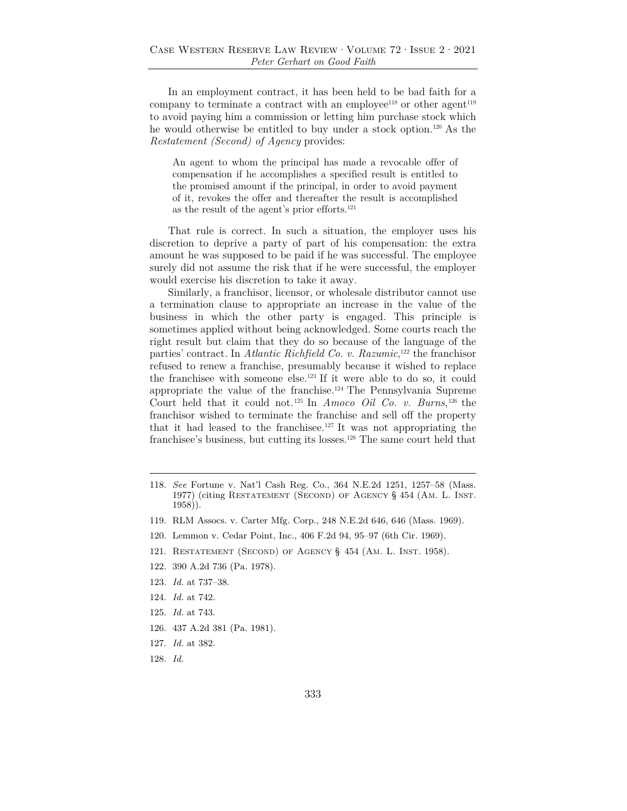In an employment contract, it has been held to be bad faith for a company to terminate a contract with an employee<sup>118</sup> or other agent<sup>119</sup> to avoid paying him a commission or letting him purchase stock which he would otherwise be entitled to buy under a stock option.120 As the *Restatement (Second) of Agency* provides:

An agent to whom the principal has made a revocable offer of compensation if he accomplishes a specified result is entitled to the promised amount if the principal, in order to avoid payment of it, revokes the offer and thereafter the result is accomplished as the result of the agent's prior efforts.121

That rule is correct. In such a situation, the employer uses his discretion to deprive a party of part of his compensation: the extra amount he was supposed to be paid if he was successful. The employee surely did not assume the risk that if he were successful, the employer would exercise his discretion to take it away.

Similarly, a franchisor, licensor, or wholesale distributor cannot use a termination clause to appropriate an increase in the value of the business in which the other party is engaged. This principle is sometimes applied without being acknowledged. Some courts reach the right result but claim that they do so because of the language of the parties' contract. In *Atlantic Richfield Co. v. Razumic*, 122 the franchisor refused to renew a franchise, presumably because it wished to replace the franchisee with someone else.123 If it were able to do so, it could appropriate the value of the franchise.124 The Pennsylvania Supreme Court held that it could not.125 In *Amoco Oil Co. v. Burns*,126 the franchisor wished to terminate the franchise and sell off the property that it had leased to the franchise  $e^{127}$  It was not appropriating the franchisee's business, but cutting its losses.<sup>128</sup> The same court held that

- 122. 390 A.2d 736 (Pa. 1978).
- 123. *Id.* at 737–38.
- 124. *Id.* at 742.
- 125. *Id.* at 743.
- 126. 437 A.2d 381 (Pa. 1981).
- 127. *Id.* at 382.
- 128. *Id.*

<sup>118.</sup> *See* Fortune v. Nat'l Cash Reg. Co., 364 N.E.2d 1251, 1257–58 (Mass. 1977) (citing Restatement (Second) of Agency § 454 (Am. L. Inst. 1958)).

<sup>119.</sup> RLM Assocs. v. Carter Mfg. Corp., 248 N.E.2d 646, 646 (Mass. 1969).

<sup>120.</sup> Lemmon v. Cedar Point, Inc., 406 F.2d 94, 95–97 (6th Cir. 1969).

<sup>121.</sup> Restatement (Second) of Agency § 454 (Am. L. Inst. 1958).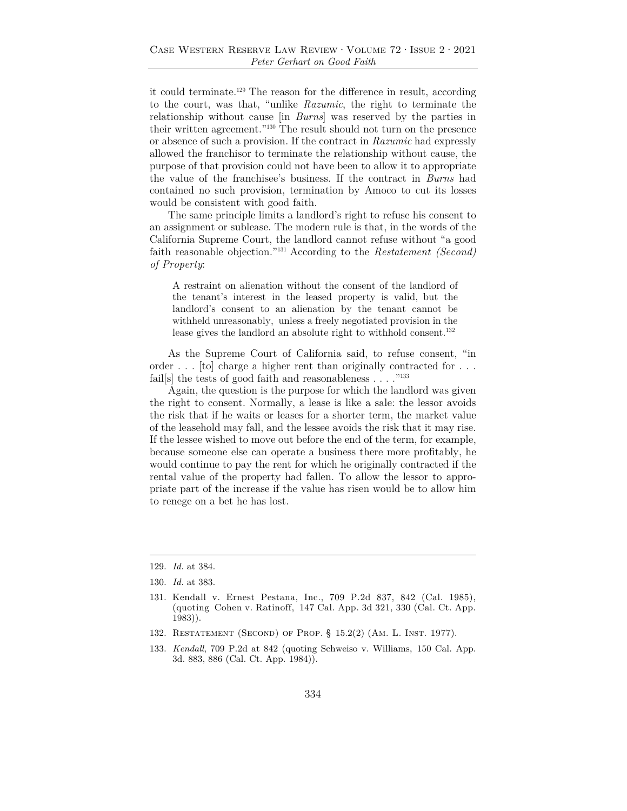it could terminate.129 The reason for the difference in result, according to the court, was that, "unlike *Razumic*, the right to terminate the relationship without cause [in *Burns*] was reserved by the parties in their written agreement."130 The result should not turn on the presence or absence of such a provision. If the contract in *Razumic* had expressly allowed the franchisor to terminate the relationship without cause, the purpose of that provision could not have been to allow it to appropriate the value of the franchisee's business. If the contract in *Burns* had contained no such provision, termination by Amoco to cut its losses would be consistent with good faith.

The same principle limits a landlord's right to refuse his consent to an assignment or sublease. The modern rule is that, in the words of the California Supreme Court, the landlord cannot refuse without "a good faith reasonable objection."131 According to the *Restatement (Second) of Property*:

A restraint on alienation without the consent of the landlord of the tenant's interest in the leased property is valid, but the landlord's consent to an alienation by the tenant cannot be withheld unreasonably, unless a freely negotiated provision in the lease gives the landlord an absolute right to withhold consent.<sup>132</sup>

As the Supreme Court of California said, to refuse consent, "in order . . . [to] charge a higher rent than originally contracted for . . . fail[s] the tests of good faith and reasonableness . . . . "<sup>133</sup>

Again, the question is the purpose for which the landlord was given the right to consent. Normally, a lease is like a sale: the lessor avoids the risk that if he waits or leases for a shorter term, the market value of the leasehold may fall, and the lessee avoids the risk that it may rise. If the lessee wished to move out before the end of the term, for example, because someone else can operate a business there more profitably, he would continue to pay the rent for which he originally contracted if the rental value of the property had fallen. To allow the lessor to appropriate part of the increase if the value has risen would be to allow him to renege on a bet he has lost.

- 132. Restatement (Second) of Prop. § 15.2(2) (Am. L. Inst. 1977).
- 133. *Kendall*, 709 P.2d at 842 (quoting Schweiso v. Williams, 150 Cal. App. 3d. 883, 886 (Cal. Ct. App. 1984)).

<sup>129.</sup> *Id.* at 384.

<sup>130.</sup> *Id.* at 383.

<sup>131.</sup> Kendall v. Ernest Pestana, Inc., 709 P.2d 837, 842 (Cal. 1985), (quoting Cohen v. Ratinoff, 147 Cal. App. 3d 321, 330 (Cal. Ct. App. 1983)).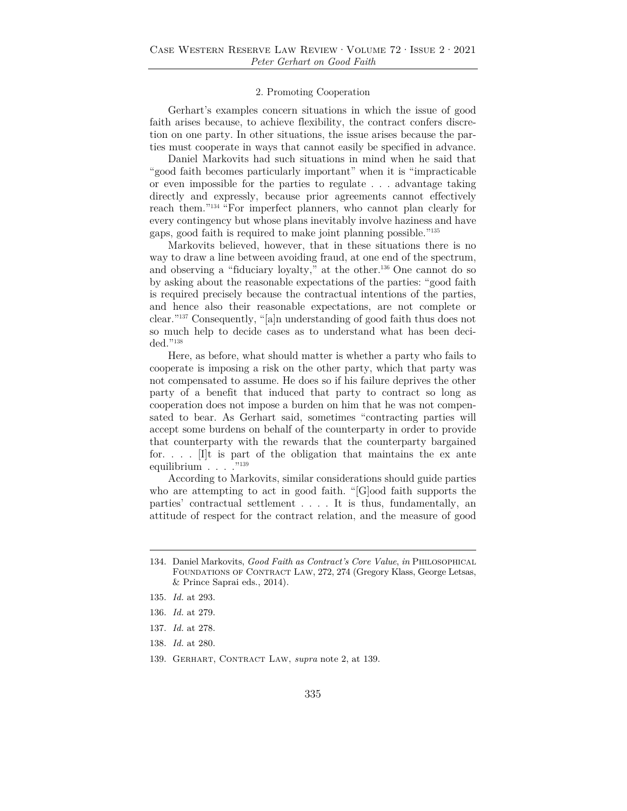#### 2. Promoting Cooperation

Gerhart's examples concern situations in which the issue of good faith arises because, to achieve flexibility, the contract confers discretion on one party. In other situations, the issue arises because the parties must cooperate in ways that cannot easily be specified in advance.

Daniel Markovits had such situations in mind when he said that "good faith becomes particularly important" when it is "impracticable or even impossible for the parties to regulate . . . advantage taking directly and expressly, because prior agreements cannot effectively reach them."134 "For imperfect planners, who cannot plan clearly for every contingency but whose plans inevitably involve haziness and have gaps, good faith is required to make joint planning possible."135

Markovits believed, however, that in these situations there is no way to draw a line between avoiding fraud, at one end of the spectrum, and observing a "fiduciary loyalty," at the other.136 One cannot do so by asking about the reasonable expectations of the parties: "good faith is required precisely because the contractual intentions of the parties, and hence also their reasonable expectations, are not complete or clear."137 Consequently, "[a]n understanding of good faith thus does not so much help to decide cases as to understand what has been decided."138

Here, as before, what should matter is whether a party who fails to cooperate is imposing a risk on the other party, which that party was not compensated to assume. He does so if his failure deprives the other party of a benefit that induced that party to contract so long as cooperation does not impose a burden on him that he was not compensated to bear. As Gerhart said, sometimes "contracting parties will accept some burdens on behalf of the counterparty in order to provide that counterparty with the rewards that the counterparty bargained for. . . . [I]t is part of the obligation that maintains the ex ante equilibrium  $\ldots$  .  $\ldots$  .  $\ldots$ 

According to Markovits, similar considerations should guide parties who are attempting to act in good faith. "[G]ood faith supports the parties' contractual settlement . . . . It is thus, fundamentally, an attitude of respect for the contract relation, and the measure of good

- 136. *Id.* at 279.
- 137. *Id.* at 278.
- 138. *Id.* at 280.
- 139. Gerhart, Contract Law, *supra* note 2, at 139.

<sup>134.</sup> Daniel Markovits, *Good Faith as Contract's Core Value*, *in* Philosophical Foundations of Contract Law, 272, 274 (Gregory Klass, George Letsas, & Prince Saprai eds., 2014).

<sup>135.</sup> *Id.* at 293.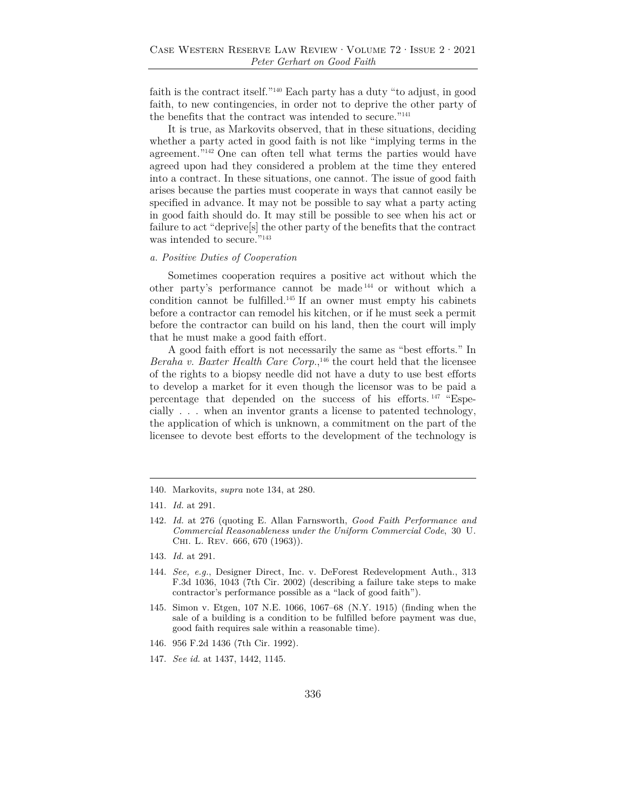faith is the contract itself."140 Each party has a duty "to adjust, in good faith, to new contingencies, in order not to deprive the other party of the benefits that the contract was intended to secure."141

It is true, as Markovits observed, that in these situations, deciding whether a party acted in good faith is not like "implying terms in the agreement."142 One can often tell what terms the parties would have agreed upon had they considered a problem at the time they entered into a contract. In these situations, one cannot. The issue of good faith arises because the parties must cooperate in ways that cannot easily be specified in advance. It may not be possible to say what a party acting in good faith should do. It may still be possible to see when his act or failure to act "deprive[s] the other party of the benefits that the contract was intended to secure."<sup>143</sup>

## *a. Positive Duties of Cooperation*

Sometimes cooperation requires a positive act without which the other party's performance cannot be made 144 or without which a condition cannot be fulfilled.145 If an owner must empty his cabinets before a contractor can remodel his kitchen, or if he must seek a permit before the contractor can build on his land, then the court will imply that he must make a good faith effort.

A good faith effort is not necessarily the same as "best efforts." In *Beraha v. Baxter Health Care Corp.*,<sup>146</sup> the court held that the licensee of the rights to a biopsy needle did not have a duty to use best efforts to develop a market for it even though the licensor was to be paid a percentage that depended on the success of his efforts. 147 "Especially . . . when an inventor grants a license to patented technology, the application of which is unknown, a commitment on the part of the licensee to devote best efforts to the development of the technology is

- 143. *Id.* at 291.
- 144. *See, e.g.*, Designer Direct, Inc. v. DeForest Redevelopment Auth., 313 F.3d 1036, 1043 (7th Cir. 2002) (describing a failure take steps to make contractor's performance possible as a "lack of good faith").
- 145. Simon v. Etgen, 107 N.E. 1066, 1067–68 (N.Y. 1915) (finding when the sale of a building is a condition to be fulfilled before payment was due, good faith requires sale within a reasonable time).
- 146. 956 F.2d 1436 (7th Cir. 1992).
- 147. *See id.* at 1437, 1442, 1145.

<sup>140.</sup> Markovits, *supra* note 134, at 280.

<sup>141.</sup> *Id.* at 291.

<sup>142.</sup> *Id.* at 276 (quoting E. Allan Farnsworth, *Good Faith Performance and Commercial Reasonableness under the Uniform Commercial Code*, 30 U. Chi. L. Rev. 666, 670 (1963)).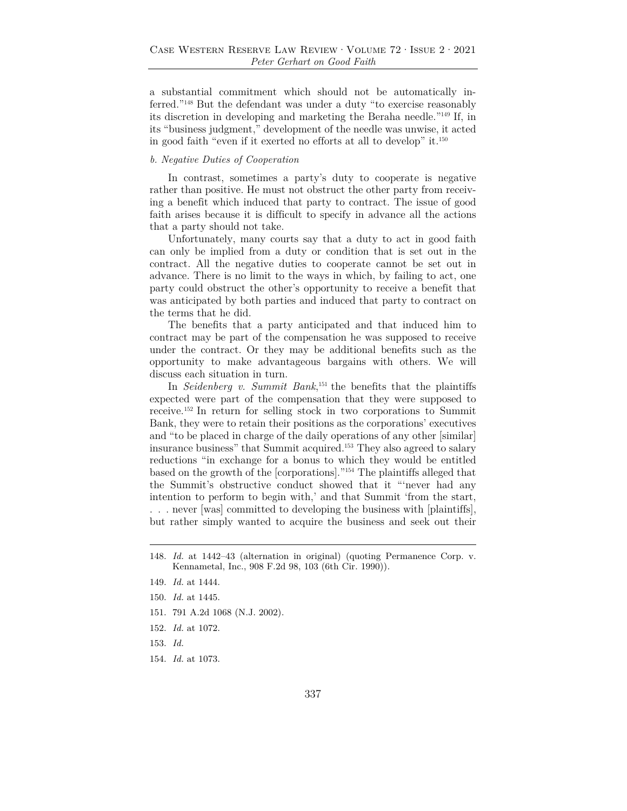a substantial commitment which should not be automatically inferred."148 But the defendant was under a duty "to exercise reasonably its discretion in developing and marketing the Beraha needle."149 If, in its "business judgment," development of the needle was unwise, it acted in good faith "even if it exerted no efforts at all to develop" it.150

## *b. Negative Duties of Cooperation*

In contrast, sometimes a party's duty to cooperate is negative rather than positive. He must not obstruct the other party from receiving a benefit which induced that party to contract. The issue of good faith arises because it is difficult to specify in advance all the actions that a party should not take.

Unfortunately, many courts say that a duty to act in good faith can only be implied from a duty or condition that is set out in the contract. All the negative duties to cooperate cannot be set out in advance. There is no limit to the ways in which, by failing to act, one party could obstruct the other's opportunity to receive a benefit that was anticipated by both parties and induced that party to contract on the terms that he did.

The benefits that a party anticipated and that induced him to contract may be part of the compensation he was supposed to receive under the contract. Or they may be additional benefits such as the opportunity to make advantageous bargains with others. We will discuss each situation in turn.

In *Seidenberg v. Summit Bank*, 151 the benefits that the plaintiffs expected were part of the compensation that they were supposed to receive.152 In return for selling stock in two corporations to Summit Bank, they were to retain their positions as the corporations' executives and "to be placed in charge of the daily operations of any other [similar] insurance business" that Summit acquired.153 They also agreed to salary reductions "in exchange for a bonus to which they would be entitled based on the growth of the [corporations]."154 The plaintiffs alleged that the Summit's obstructive conduct showed that it "'never had any intention to perform to begin with,' and that Summit 'from the start, . . . never [was] committed to developing the business with [plaintiffs], but rather simply wanted to acquire the business and seek out their

- 151. 791 A.2d 1068 (N.J. 2002).
- 152. *Id.* at 1072.
- 153. *Id.*
- 154. *Id.* at 1073.

<sup>148.</sup> *Id.* at 1442–43 (alternation in original) (quoting Permanence Corp. v. Kennametal, Inc., 908 F.2d 98, 103 (6th Cir. 1990)).

<sup>149.</sup> *Id.* at 1444.

<sup>150.</sup> *Id.* at 1445.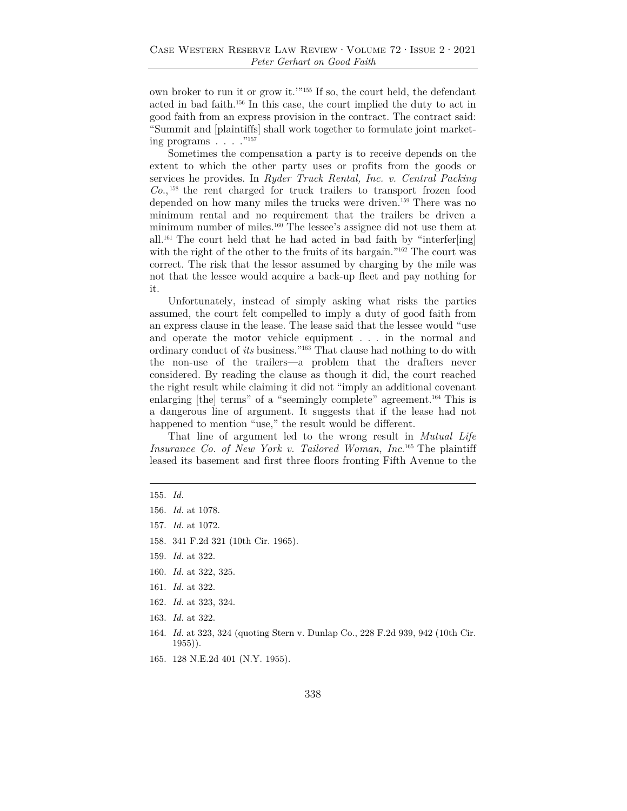own broker to run it or grow it.'"155 If so, the court held, the defendant acted in bad faith.156 In this case, the court implied the duty to act in good faith from an express provision in the contract. The contract said: "Summit and [plaintiffs] shall work together to formulate joint marketing programs . . . ."157

Sometimes the compensation a party is to receive depends on the extent to which the other party uses or profits from the goods or services he provides. In *Ryder Truck Rental, Inc. v. Central Packing Co*., 158 the rent charged for truck trailers to transport frozen food depended on how many miles the trucks were driven.159 There was no minimum rental and no requirement that the trailers be driven a minimum number of miles.160 The lessee's assignee did not use them at all.161 The court held that he had acted in bad faith by "interfer[ing] with the right of the other to the fruits of its bargain."<sup>162</sup> The court was correct. The risk that the lessor assumed by charging by the mile was not that the lessee would acquire a back-up fleet and pay nothing for it.

Unfortunately, instead of simply asking what risks the parties assumed, the court felt compelled to imply a duty of good faith from an express clause in the lease. The lease said that the lessee would "use and operate the motor vehicle equipment . . . in the normal and ordinary conduct of *its* business."163 That clause had nothing to do with the non-use of the trailers—a problem that the drafters never considered. By reading the clause as though it did, the court reached the right result while claiming it did not "imply an additional covenant enlarging [the] terms" of a "seemingly complete" agreement.<sup>164</sup> This is a dangerous line of argument. It suggests that if the lease had not happened to mention "use," the result would be different.

That line of argument led to the wrong result in *Mutual Life Insurance Co. of New York v. Tailored Woman, Inc*. 165 The plaintiff leased its basement and first three floors fronting Fifth Avenue to the

- 158. 341 F.2d 321 (10th Cir. 1965).
- 159. *Id.* at 322.
- 160. *Id.* at 322, 325.
- 161. *Id.* at 322.
- 162. *Id.* at 323, 324.
- 163. *Id.* at 322.
- 164. *Id.* at 323, 324 (quoting Stern v. Dunlap Co., 228 F.2d 939, 942 (10th Cir. 1955)).
- 165. 128 N.E.2d 401 (N.Y. 1955).

<sup>155.</sup> *Id.*

<sup>156.</sup> *Id.* at 1078.

<sup>157.</sup> *Id.* at 1072.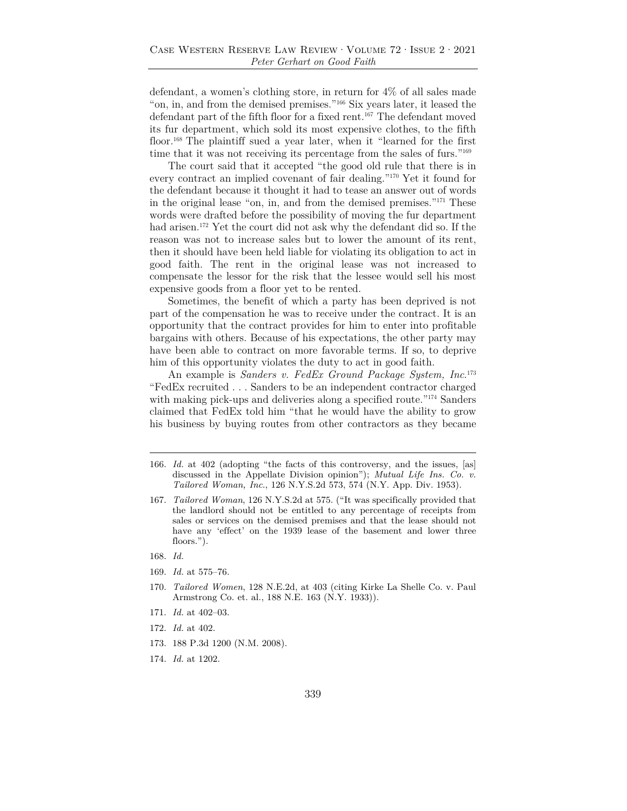defendant, a women's clothing store, in return for 4% of all sales made "on, in, and from the demised premises."166 Six years later, it leased the defendant part of the fifth floor for a fixed rent.<sup>167</sup> The defendant moved its fur department, which sold its most expensive clothes, to the fifth floor.<sup>168</sup> The plaintiff sued a year later, when it "learned for the first time that it was not receiving its percentage from the sales of furs."169

The court said that it accepted "the good old rule that there is in every contract an implied covenant of fair dealing."170 Yet it found for the defendant because it thought it had to tease an answer out of words in the original lease "on, in, and from the demised premises."171 These words were drafted before the possibility of moving the fur department had arisen.172 Yet the court did not ask why the defendant did so. If the reason was not to increase sales but to lower the amount of its rent, then it should have been held liable for violating its obligation to act in good faith. The rent in the original lease was not increased to compensate the lessor for the risk that the lessee would sell his most expensive goods from a floor yet to be rented.

Sometimes, the benefit of which a party has been deprived is not part of the compensation he was to receive under the contract. It is an opportunity that the contract provides for him to enter into profitable bargains with others. Because of his expectations, the other party may have been able to contract on more favorable terms. If so, to deprive him of this opportunity violates the duty to act in good faith.

An example is *Sanders v. FedEx Ground Package System, Inc*. 173 "FedEx recruited . . . Sanders to be an independent contractor charged with making pick-ups and deliveries along a specified route."<sup>174</sup> Sanders claimed that FedEx told him "that he would have the ability to grow his business by buying routes from other contractors as they became

- 172. *Id.* at 402.
- 173. 188 P.3d 1200 (N.M. 2008).
- 174. *Id.* at 1202.

<sup>166.</sup> *Id.* at 402 (adopting "the facts of this controversy, and the issues, [as] discussed in the Appellate Division opinion"); *Mutual Life Ins. Co. v. Tailored Woman, Inc*., 126 N.Y.S.2d 573, 574 (N.Y. App. Div. 1953).

<sup>167.</sup> *Tailored Woman*, 126 N.Y.S.2d at 575. ("It was specifically provided that the landlord should not be entitled to any percentage of receipts from sales or services on the demised premises and that the lease should not have any 'effect' on the 1939 lease of the basement and lower three floors.").

<sup>168.</sup> *Id.*

<sup>169.</sup> *Id.* at 575–76.

<sup>170.</sup> *Tailored Women*, 128 N.E.2d, at 403 (citing Kirke La Shelle Co. v. Paul Armstrong Co. et. al., 188 N.E. 163 (N.Y. 1933)).

<sup>171.</sup> *Id.* at 402–03.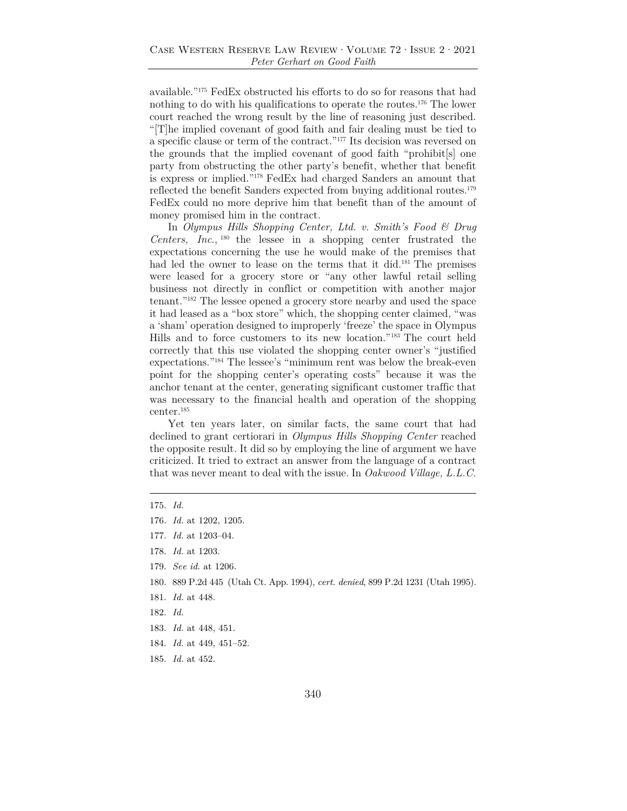available."175 FedEx obstructed his efforts to do so for reasons that had nothing to do with his qualifications to operate the routes.176 The lower court reached the wrong result by the line of reasoning just described. "[T]he implied covenant of good faith and fair dealing must be tied to a specific clause or term of the contract."177 Its decision was reversed on the grounds that the implied covenant of good faith "prohibit[s] one party from obstructing the other party's benefit, whether that benefit is express or implied."178 FedEx had charged Sanders an amount that reflected the benefit Sanders expected from buying additional routes.<sup>179</sup> FedEx could no more deprive him that benefit than of the amount of money promised him in the contract.

In *Olympus Hills Shopping Center, Ltd. v. Smith's Food & Drug Centers, Inc*., 180 the lessee in a shopping center frustrated the expectations concerning the use he would make of the premises that had led the owner to lease on the terms that it did.<sup>181</sup> The premises were leased for a grocery store or "any other lawful retail selling business not directly in conflict or competition with another major tenant."182 The lessee opened a grocery store nearby and used the space it had leased as a "box store" which, the shopping center claimed, "was a 'sham' operation designed to improperly 'freeze' the space in Olympus Hills and to force customers to its new location."183 The court held correctly that this use violated the shopping center owner's "justified expectations."184 The lessee's "minimum rent was below the break-even point for the shopping center's operating costs" because it was the anchor tenant at the center, generating significant customer traffic that was necessary to the financial health and operation of the shopping center.185

Yet ten years later, on similar facts, the same court that had declined to grant certiorari in *Olympus Hills Shopping Center* reached the opposite result. It did so by employing the line of argument we have criticized. It tried to extract an answer from the language of a contract that was never meant to deal with the issue. In *Oakwood Village, L.L.C.* 

- 180. 889 P.2d 445 (Utah Ct. App. 1994), *cert. denied*, 899 P.2d 1231 (Utah 1995).
- 181. *Id.* at 448.
- 182. *Id.*
- 183. *Id.* at 448, 451.
- 184. *Id.* at 449, 451–52.
- 185. *Id.* at 452.

<sup>175.</sup> *Id.*

<sup>176.</sup> *Id.* at 1202, 1205.

<sup>177.</sup> *Id.* at 1203–04.

<sup>178.</sup> *Id.* at 1203.

<sup>179.</sup> *See id.* at 1206.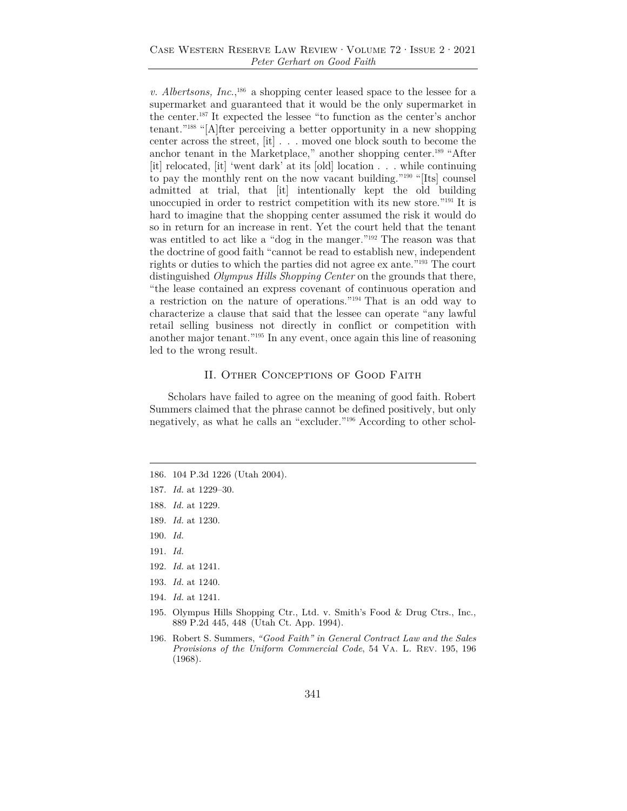*v. Albertsons, Inc*.,186 a shopping center leased space to the lessee for a supermarket and guaranteed that it would be the only supermarket in the center.187 It expected the lessee "to function as the center's anchor tenant."188 "[A]fter perceiving a better opportunity in a new shopping center across the street, [it] . . . moved one block south to become the anchor tenant in the Marketplace," another shopping center.189 "After [it] relocated, [it] 'went dark' at its [old] location . . . while continuing to pay the monthly rent on the now vacant building."190 "[Its] counsel admitted at trial, that [it] intentionally kept the old building unoccupied in order to restrict competition with its new store."191 It is hard to imagine that the shopping center assumed the risk it would do so in return for an increase in rent. Yet the court held that the tenant was entitled to act like a "dog in the manger."<sup>192</sup> The reason was that the doctrine of good faith "cannot be read to establish new, independent rights or duties to which the parties did not agree ex ante."193 The court distinguished *Olympus Hills Shopping Center* on the grounds that there, "the lease contained an express covenant of continuous operation and a restriction on the nature of operations."194 That is an odd way to characterize a clause that said that the lessee can operate "any lawful retail selling business not directly in conflict or competition with another major tenant."195 In any event, once again this line of reasoning led to the wrong result.

# II. Other Conceptions of Good Faith

Scholars have failed to agree on the meaning of good faith. Robert Summers claimed that the phrase cannot be defined positively, but only negatively, as what he calls an "excluder."196 According to other schol-

- 186. 104 P.3d 1226 (Utah 2004).
- 187. *Id.* at 1229–30.
- 188. *Id.* at 1229.
- 189. *Id.* at 1230.
- 190. *Id.*
- 191. *Id.*
- 192. *Id.* at 1241.
- 193. *Id.* at 1240.
- 194. *Id.* at 1241.
- 195. Olympus Hills Shopping Ctr., Ltd. v. Smith's Food & Drug Ctrs., Inc., 889 P.2d 445, 448 (Utah Ct. App. 1994).
- 196. Robert S. Summers, *"Good Faith" in General Contract Law and the Sales Provisions of the Uniform Commercial Code*, 54 Va. L. Rev. 195, 196 (1968).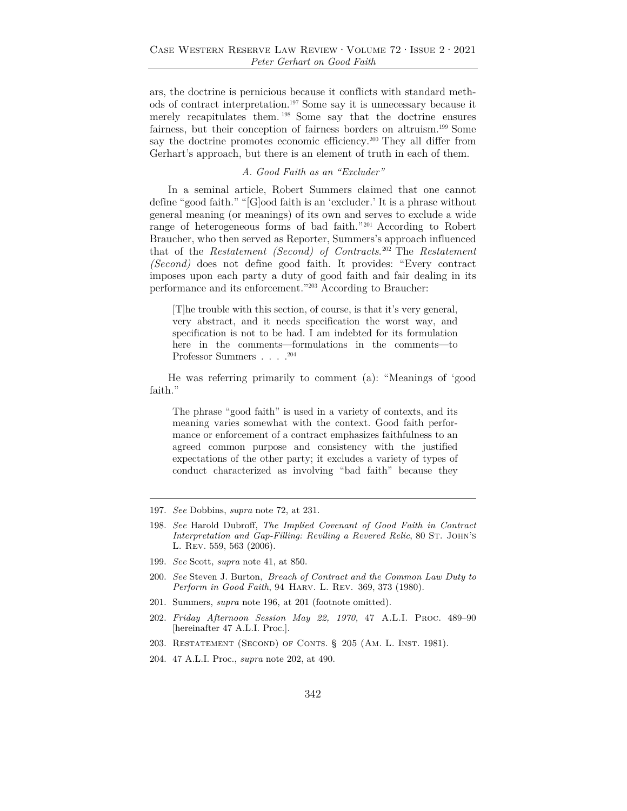ars, the doctrine is pernicious because it conflicts with standard methods of contract interpretation.197 Some say it is unnecessary because it merely recapitulates them. 198 Some say that the doctrine ensures fairness, but their conception of fairness borders on altruism.199 Some say the doctrine promotes economic efficiency.<sup>200</sup> They all differ from Gerhart's approach, but there is an element of truth in each of them.

# *A. Good Faith as an "Excluder"*

In a seminal article, Robert Summers claimed that one cannot define "good faith." "[G]ood faith is an 'excluder.' It is a phrase without general meaning (or meanings) of its own and serves to exclude a wide range of heterogeneous forms of bad faith."<sup>201</sup> According to Robert Braucher, who then served as Reporter, Summers's approach influenced that of the *Restatement (Second) of Contracts*. 202 The *Restatement (Second)* does not define good faith. It provides: "Every contract imposes upon each party a duty of good faith and fair dealing in its performance and its enforcement."203 According to Braucher:

[T]he trouble with this section, of course, is that it's very general, very abstract, and it needs specification the worst way, and specification is not to be had. I am indebted for its formulation here in the comments—formulations in the comments—to Professor Summers . . . .204

He was referring primarily to comment (a): "Meanings of 'good faith."

The phrase "good faith" is used in a variety of contexts, and its meaning varies somewhat with the context. Good faith performance or enforcement of a contract emphasizes faithfulness to an agreed common purpose and consistency with the justified expectations of the other party; it excludes a variety of types of conduct characterized as involving "bad faith" because they

- 199. *See* Scott, *supra* note 41, at 850.
- 200. *See* Steven J. Burton, *Breach of Contract and the Common Law Duty to Perform in Good Faith*, 94 Harv. L. Rev. 369, 373 (1980).
- 201. Summers, *supra* note 196, at 201 (footnote omitted).
- 202. *Friday Afternoon Session May 22, 1970,* 47 A.L.I. Proc. 489–90 [hereinafter 47 A.L.I. Proc.].
- 203. Restatement (Second) of Conts. § 205 (Am. L. Inst. 1981).
- 204. 47 A.L.I. Proc., *supra* note 202, at 490.

<sup>197.</sup> *See* Dobbins, *supra* note 72, at 231.

<sup>198.</sup> *See* Harold Dubroff, *The Implied Covenant of Good Faith in Contract Interpretation and Gap-Filling: Reviling a Revered Relic*, 80 St. John's L. Rev. 559, 563 (2006).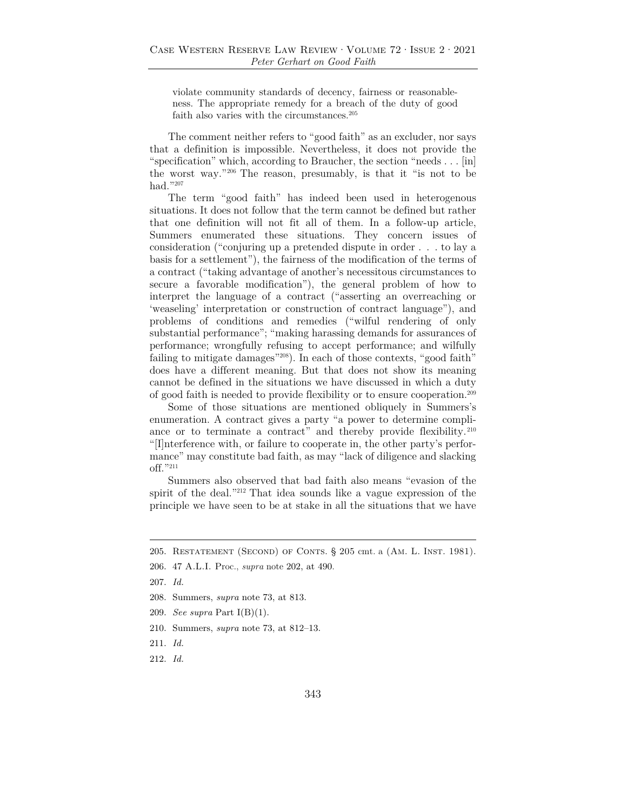violate community standards of decency, fairness or reasonableness. The appropriate remedy for a breach of the duty of good faith also varies with the circumstances.<sup>205</sup>

The comment neither refers to "good faith" as an excluder, nor says that a definition is impossible. Nevertheless, it does not provide the "specification" which, according to Braucher, the section "needs . . . [in] the worst way."206 The reason, presumably, is that it "is not to be had."<br/>  $\hspace{0.5pt}$  "207

The term "good faith" has indeed been used in heterogenous situations. It does not follow that the term cannot be defined but rather that one definition will not fit all of them. In a follow-up article, Summers enumerated these situations. They concern issues of consideration ("conjuring up a pretended dispute in order . . . to lay a basis for a settlement"), the fairness of the modification of the terms of a contract ("taking advantage of another's necessitous circumstances to secure a favorable modification"), the general problem of how to interpret the language of a contract ("asserting an overreaching or 'weaseling' interpretation or construction of contract language"), and problems of conditions and remedies ("wilful rendering of only substantial performance"; "making harassing demands for assurances of performance; wrongfully refusing to accept performance; and wilfully failing to mitigate damages"208). In each of those contexts, "good faith" does have a different meaning. But that does not show its meaning cannot be defined in the situations we have discussed in which a duty of good faith is needed to provide flexibility or to ensure cooperation.209

Some of those situations are mentioned obliquely in Summers's enumeration. A contract gives a party "a power to determine compliance or to terminate a contract" and thereby provide flexibility.<sup>210</sup> "[I]nterference with, or failure to cooperate in, the other party's performance" may constitute bad faith, as may "lack of diligence and slacking off."211

Summers also observed that bad faith also means "evasion of the spirit of the deal."212 That idea sounds like a vague expression of the principle we have seen to be at stake in all the situations that we have

- 208. Summers, *supra* note 73, at 813.
- 209. *See supra* Part I(B)(1).
- 210. Summers, *supra* note 73, at 812–13.
- 211. *Id.*
- 212. *Id.*

<sup>205.</sup> Restatement (Second) of Conts. § 205 cmt. a (Am. L. Inst. 1981).

<sup>206. 47</sup> A.L.I. Proc., *supra* note 202, at 490.

<sup>207.</sup> *Id.*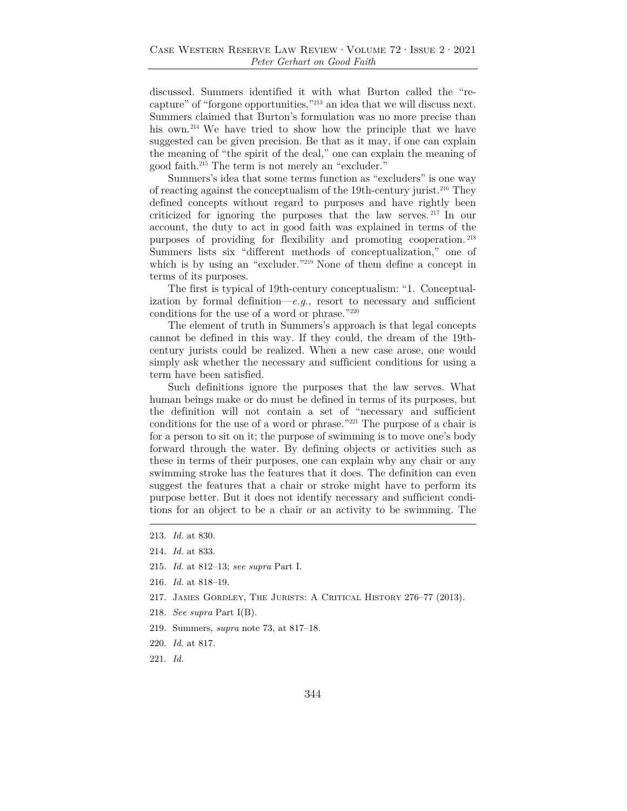discussed. Summers identified it with what Burton called the "recapture" of "forgone opportunities,"213 an idea that we will discuss next. Summers claimed that Burton's formulation was no more precise than his own.<sup>214</sup> We have tried to show how the principle that we have suggested can be given precision. Be that as it may, if one can explain the meaning of "the spirit of the deal," one can explain the meaning of good faith.215 The term is not merely an "excluder."

Summers's idea that some terms function as "excluders" is one way of reacting against the conceptualism of the 19th-century jurist.216 They defined concepts without regard to purposes and have rightly been criticized for ignoring the purposes that the law serves. 217 In our account, the duty to act in good faith was explained in terms of the purposes of providing for flexibility and promoting cooperation. <sup>218</sup> Summers lists six "different methods of conceptualization," one of which is by using an "excluder."<sup>219</sup> None of them define a concept in terms of its purposes.

The first is typical of 19th-century conceptualism: "1. Conceptualization by formal definition—*e.g.,* resort to necessary and sufficient conditions for the use of a word or phrase."220

The element of truth in Summers's approach is that legal concepts cannot be defined in this way. If they could, the dream of the 19thcentury jurists could be realized. When a new case arose, one would simply ask whether the necessary and sufficient conditions for using a term have been satisfied.

Such definitions ignore the purposes that the law serves. What human beings make or do must be defined in terms of its purposes, but the definition will not contain a set of "necessary and sufficient conditions for the use of a word or phrase."221 The purpose of a chair is for a person to sit on it; the purpose of swimming is to move one's body forward through the water. By defining objects or activities such as these in terms of their purposes, one can explain why any chair or any swimming stroke has the features that it does. The definition can even suggest the features that a chair or stroke might have to perform its purpose better. But it does not identify necessary and sufficient conditions for an object to be a chair or an activity to be swimming. The

- 216. *Id.* at 818–19.
- 217. James Gordley, The Jurists: A Critical History 276–77 (2013).
- 218. *See supra* Part I(B).
- 219. Summers, *supra* note 73, at 817–18.
- 220. *Id.* at 817.
- 221. *Id.*

<sup>213.</sup> *Id.* at 830.

<sup>214.</sup> *Id.* at 833.

<sup>215.</sup> *Id.* at 812–13; *see supra* Part I.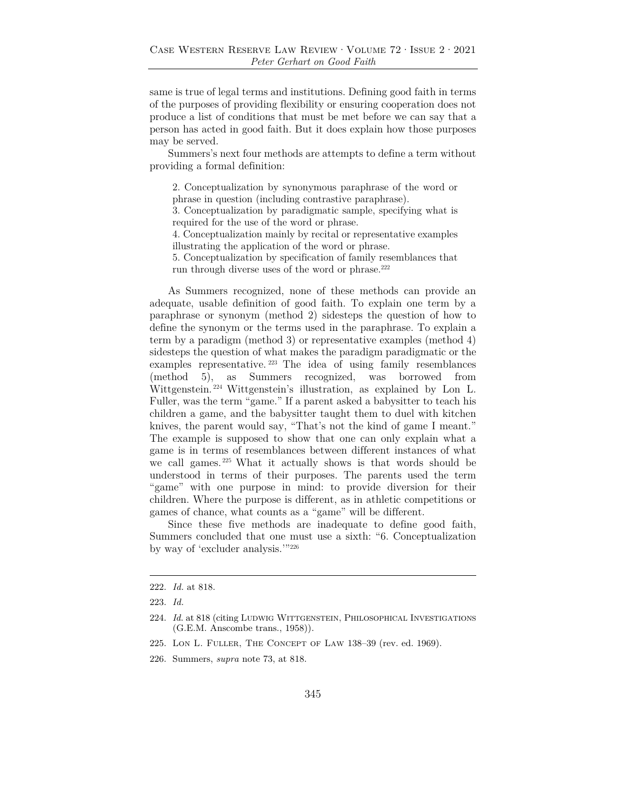same is true of legal terms and institutions. Defining good faith in terms of the purposes of providing flexibility or ensuring cooperation does not produce a list of conditions that must be met before we can say that a person has acted in good faith. But it does explain how those purposes may be served.

Summers's next four methods are attempts to define a term without providing a formal definition:

2. Conceptualization by synonymous paraphrase of the word or phrase in question (including contrastive paraphrase).

3. Conceptualization by paradigmatic sample, specifying what is required for the use of the word or phrase.

4. Conceptualization mainly by recital or representative examples illustrating the application of the word or phrase.

5. Conceptualization by specification of family resemblances that run through diverse uses of the word or phrase.<sup>222</sup>

As Summers recognized, none of these methods can provide an adequate, usable definition of good faith. To explain one term by a paraphrase or synonym (method 2) sidesteps the question of how to define the synonym or the terms used in the paraphrase. To explain a term by a paradigm (method 3) or representative examples (method 4) sidesteps the question of what makes the paradigm paradigmatic or the examples representative. 223 The idea of using family resemblances (method 5), as Summers recognized, was borrowed from Wittgenstein. 224 Wittgenstein's illustration, as explained by Lon L. Fuller, was the term "game." If a parent asked a babysitter to teach his children a game, and the babysitter taught them to duel with kitchen knives, the parent would say, "That's not the kind of game I meant." The example is supposed to show that one can only explain what a game is in terms of resemblances between different instances of what we call games. 225 What it actually shows is that words should be understood in terms of their purposes. The parents used the term "game" with one purpose in mind: to provide diversion for their children. Where the purpose is different, as in athletic competitions or games of chance, what counts as a "game" will be different.

Since these five methods are inadequate to define good faith, Summers concluded that one must use a sixth: "6. Conceptualization by way of 'excluder analysis.'"226

<sup>222.</sup> *Id.* at 818.

<sup>223.</sup> *Id.*

<sup>224.</sup> *Id.* at 818 (citing Ludwig Wittgenstein, Philosophical Investigations (G.E.M. Anscombe trans., 1958)).

<sup>225.</sup> Lon L. Fuller, The Concept of Law 138–39 (rev. ed. 1969).

<sup>226.</sup> Summers, *supra* note 73, at 818.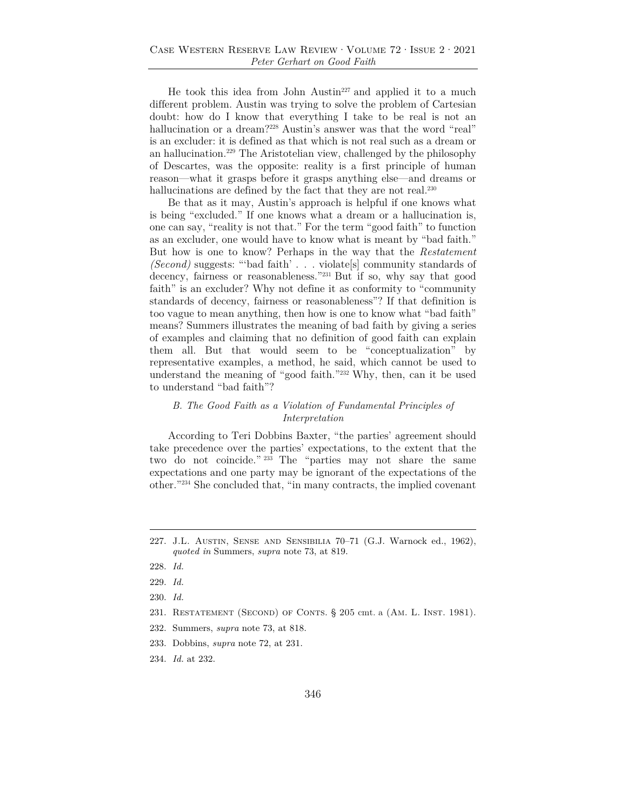He took this idea from John Austin227 and applied it to a much different problem. Austin was trying to solve the problem of Cartesian doubt: how do I know that everything I take to be real is not an hallucination or a dream?<sup>228</sup> Austin's answer was that the word "real" is an excluder: it is defined as that which is not real such as a dream or an hallucination.229 The Aristotelian view, challenged by the philosophy of Descartes, was the opposite: reality is a first principle of human reason—what it grasps before it grasps anything else—and dreams or hallucinations are defined by the fact that they are not real.<sup>230</sup>

Be that as it may, Austin's approach is helpful if one knows what is being "excluded." If one knows what a dream or a hallucination is, one can say, "reality is not that." For the term "good faith" to function as an excluder, one would have to know what is meant by "bad faith." But how is one to know? Perhaps in the way that the *Restatement (Second)* suggests: "'bad faith' . . . violate[s] community standards of decency, fairness or reasonableness."231 But if so, why say that good faith" is an excluder? Why not define it as conformity to "community" standards of decency, fairness or reasonableness"? If that definition is too vague to mean anything, then how is one to know what "bad faith" means? Summers illustrates the meaning of bad faith by giving a series of examples and claiming that no definition of good faith can explain them all. But that would seem to be "conceptualization" by representative examples, a method, he said, which cannot be used to understand the meaning of "good faith."232 Why, then, can it be used to understand "bad faith"?

# *B. The Good Faith as a Violation of Fundamental Principles of Interpretation*

According to Teri Dobbins Baxter, "the parties' agreement should take precedence over the parties' expectations, to the extent that the two do not coincide." 233 The "parties may not share the same expectations and one party may be ignorant of the expectations of the other."234 She concluded that, "in many contracts, the implied covenant

- 233. Dobbins, *supra* note 72, at 231.
- 234. *Id.* at 232.

<sup>227.</sup> J.L. Austin, Sense and Sensibilia 70–71 (G.J. Warnock ed., 1962), *quoted in* Summers, *supra* note 73, at 819.

<sup>228.</sup> *Id.*

<sup>229.</sup> *Id.*

<sup>230.</sup> *Id.*

<sup>231.</sup> RESTATEMENT (SECOND) OF CONTS. § 205 cmt. a (AM. L. INST. 1981).

<sup>232.</sup> Summers, *supra* note 73, at 818.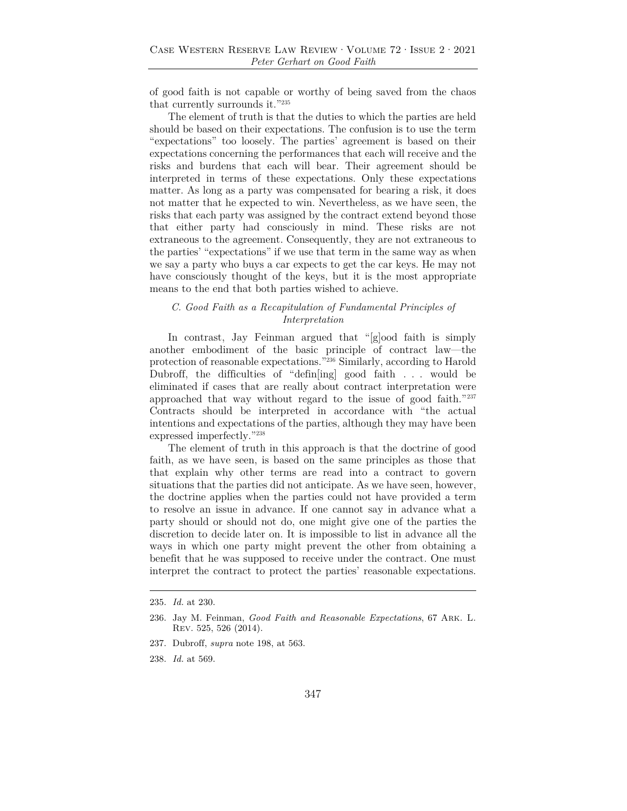of good faith is not capable or worthy of being saved from the chaos that currently surrounds it."235

The element of truth is that the duties to which the parties are held should be based on their expectations. The confusion is to use the term "expectations" too loosely. The parties' agreement is based on their expectations concerning the performances that each will receive and the risks and burdens that each will bear. Their agreement should be interpreted in terms of these expectations. Only these expectations matter. As long as a party was compensated for bearing a risk, it does not matter that he expected to win. Nevertheless, as we have seen, the risks that each party was assigned by the contract extend beyond those that either party had consciously in mind. These risks are not extraneous to the agreement. Consequently, they are not extraneous to the parties' "expectations" if we use that term in the same way as when we say a party who buys a car expects to get the car keys. He may not have consciously thought of the keys, but it is the most appropriate means to the end that both parties wished to achieve.

# *C. Good Faith as a Recapitulation of Fundamental Principles of Interpretation*

In contrast, Jay Feinman argued that "[g]ood faith is simply another embodiment of the basic principle of contract law—the protection of reasonable expectations."236 Similarly, according to Harold Dubroff, the difficulties of "defin[ing] good faith . . . would be eliminated if cases that are really about contract interpretation were approached that way without regard to the issue of good faith."237 Contracts should be interpreted in accordance with "the actual intentions and expectations of the parties, although they may have been expressed imperfectly."238

The element of truth in this approach is that the doctrine of good faith, as we have seen, is based on the same principles as those that that explain why other terms are read into a contract to govern situations that the parties did not anticipate. As we have seen, however, the doctrine applies when the parties could not have provided a term to resolve an issue in advance. If one cannot say in advance what a party should or should not do, one might give one of the parties the discretion to decide later on. It is impossible to list in advance all the ways in which one party might prevent the other from obtaining a benefit that he was supposed to receive under the contract. One must interpret the contract to protect the parties' reasonable expectations.

<sup>235.</sup> *Id.* at 230.

<sup>236.</sup> Jay M. Feinman, *Good Faith and Reasonable Expectations*, 67 Ark. L. Rev. 525, 526 (2014).

<sup>237.</sup> Dubroff, *supra* note 198, at 563.

<sup>238.</sup> *Id.* at 569.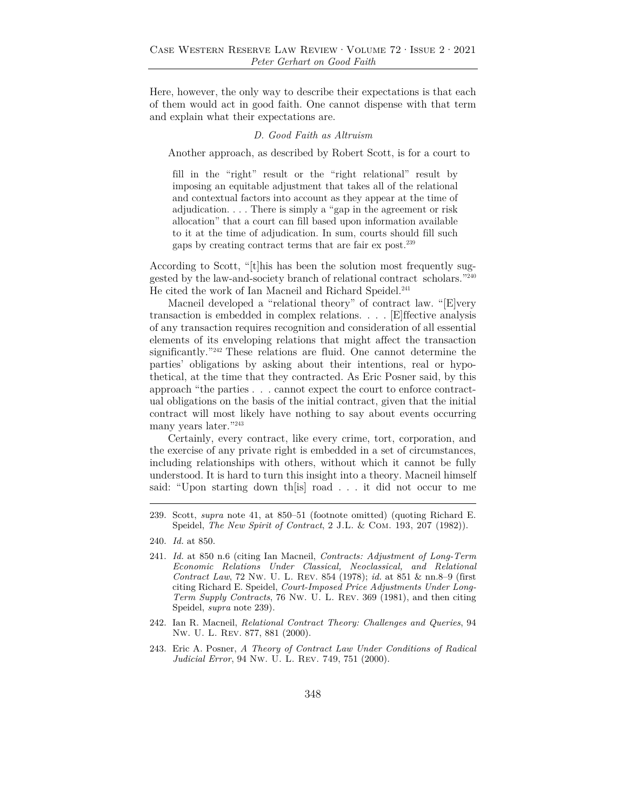Here, however, the only way to describe their expectations is that each of them would act in good faith. One cannot dispense with that term and explain what their expectations are.

#### *D. Good Faith as Altruism*

Another approach, as described by Robert Scott, is for a court to

fill in the "right" result or the "right relational" result by imposing an equitable adjustment that takes all of the relational and contextual factors into account as they appear at the time of adjudication. . . . There is simply a "gap in the agreement or risk allocation" that a court can fill based upon information available to it at the time of adjudication. In sum, courts should fill such gaps by creating contract terms that are fair ex post.239

According to Scott, "[t]his has been the solution most frequently suggested by the law-and-society branch of relational contract scholars."240 He cited the work of Ian Macneil and Richard Speidel.<sup>241</sup>

Macneil developed a "relational theory" of contract law. "[E]very transaction is embedded in complex relations. . . . [E]ffective analysis of any transaction requires recognition and consideration of all essential elements of its enveloping relations that might affect the transaction significantly.<sup>"242</sup> These relations are fluid. One cannot determine the parties' obligations by asking about their intentions, real or hypothetical, at the time that they contracted. As Eric Posner said, by this approach "the parties . . . cannot expect the court to enforce contractual obligations on the basis of the initial contract, given that the initial contract will most likely have nothing to say about events occurring many years later."243

Certainly, every contract, like every crime, tort, corporation, and the exercise of any private right is embedded in a set of circumstances, including relationships with others, without which it cannot be fully understood. It is hard to turn this insight into a theory. Macneil himself said: "Upon starting down th[is] road . . . it did not occur to me

<sup>239.</sup> Scott, *supra* note 41, at 850–51 (footnote omitted) (quoting Richard E. Speidel, *The New Spirit of Contract*, 2 J.L. & Com. 193, 207 (1982)).

<sup>240.</sup> *Id.* at 850.

<sup>241.</sup> *Id.* at 850 n.6 (citing Ian Macneil, *Contracts: Adjustment of Long-Term Economic Relations Under Classical, Neoclassical, and Relational Contract Law*, 72 Nw. U. L. Rev. 854 (1978); *id.* at 851 & nn.8–9 (first citing Richard E. Speidel, *Court-Imposed Price Adjustments Under Long-Term Supply Contracts*, 76 Nw. U. L. Rev. 369 (1981), and then citing Speidel, *supra* note 239).

<sup>242.</sup> Ian R. Macneil, *Relational Contract Theory: Challenges and Queries*, 94 Nw. U. L. Rev. 877, 881 (2000).

<sup>243.</sup> Eric A. Posner, *A Theory of Contract Law Under Conditions of Radical Judicial Error*, 94 Nw. U. L. Rev. 749, 751 (2000).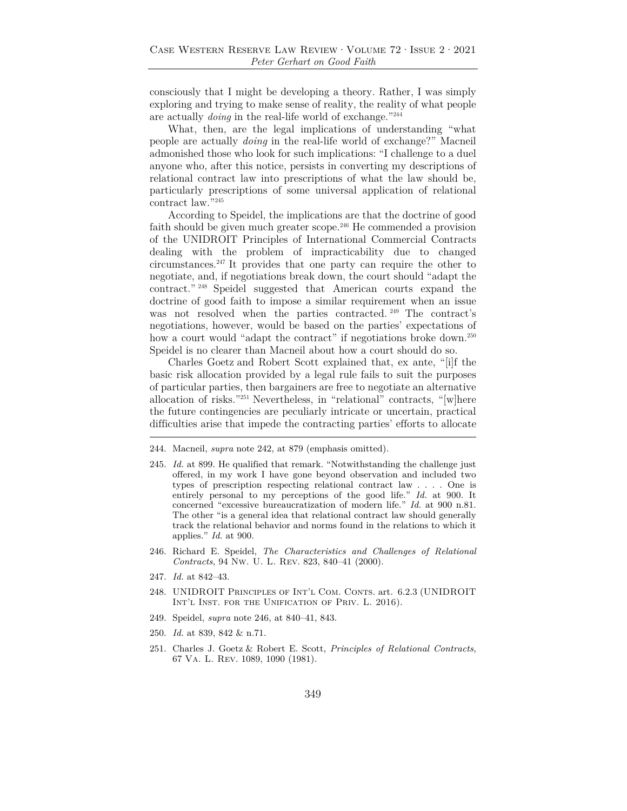consciously that I might be developing a theory. Rather, I was simply exploring and trying to make sense of reality, the reality of what people are actually *doing* in the real-life world of exchange."244

What, then, are the legal implications of understanding "what people are actually *doing* in the real-life world of exchange?" Macneil admonished those who look for such implications: "I challenge to a duel anyone who, after this notice, persists in converting my descriptions of relational contract law into prescriptions of what the law should be, particularly prescriptions of some universal application of relational contract law."245

According to Speidel, the implications are that the doctrine of good faith should be given much greater scope.<sup>246</sup> He commended a provision of the UNIDROIT Principles of International Commercial Contracts dealing with the problem of impracticability due to changed circumstances.247 It provides that one party can require the other to negotiate, and, if negotiations break down, the court should "adapt the contract." 248 Speidel suggested that American courts expand the doctrine of good faith to impose a similar requirement when an issue was not resolved when the parties contracted. <sup>249</sup> The contract's negotiations, however, would be based on the parties' expectations of how a court would "adapt the contract" if negotiations broke down.<sup>250</sup> Speidel is no clearer than Macneil about how a court should do so.

Charles Goetz and Robert Scott explained that, ex ante, "[i]f the basic risk allocation provided by a legal rule fails to suit the purposes of particular parties, then bargainers are free to negotiate an alternative allocation of risks."251 Nevertheless, in "relational" contracts, "[w]here the future contingencies are peculiarly intricate or uncertain, practical difficulties arise that impede the contracting parties' efforts to allocate

- 245. *Id.* at 899. He qualified that remark. "Notwithstanding the challenge just offered, in my work I have gone beyond observation and included two types of prescription respecting relational contract law . . . . One is entirely personal to my perceptions of the good life." *Id.* at 900. It concerned "excessive bureaucratization of modern life." *Id.* at 900 n.81. The other "is a general idea that relational contract law should generally track the relational behavior and norms found in the relations to which it applies." *Id.* at 900.
- 246. Richard E. Speidel, *The Characteristics and Challenges of Relational Contracts*, 94 Nw. U. L. Rev. 823, 840–41 (2000).
- 247. *Id.* at 842–43.
- 248. UNIDROIT Principles of Int'l Com. Conts. art. 6.2.3 (UNIDROIT INT'L INST. FOR THE UNIFICATION OF PRIV. L. 2016).
- 249. Speidel, *supra* note 246, at 840–41, 843.
- 250. *Id.* at 839, 842 & n.71.
- 251. Charles J. Goetz & Robert E. Scott, *Principles of Relational Contracts*, 67 Va. L. Rev. 1089, 1090 (1981).

<sup>244.</sup> Macneil, *supra* note 242, at 879 (emphasis omitted).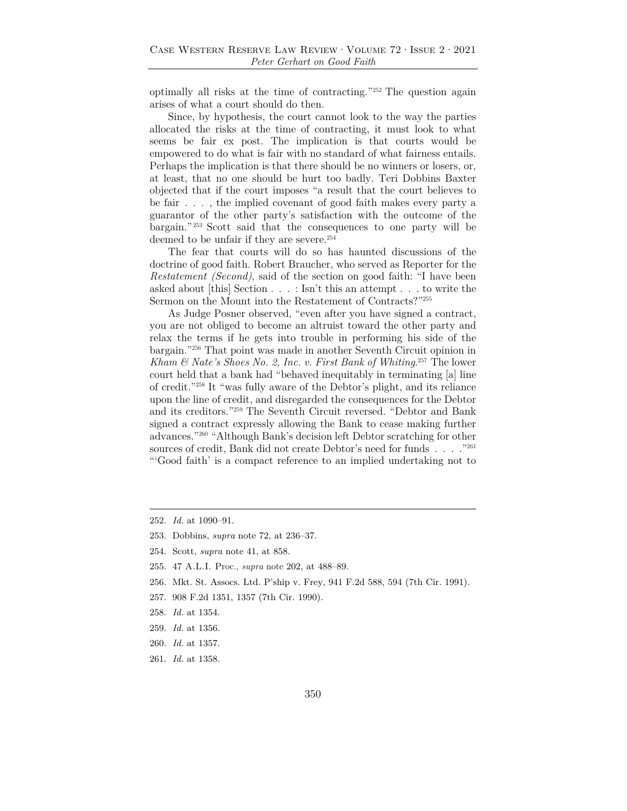optimally all risks at the time of contracting."252 The question again arises of what a court should do then.

Since, by hypothesis, the court cannot look to the way the parties allocated the risks at the time of contracting, it must look to what seems be fair ex post. The implication is that courts would be empowered to do what is fair with no standard of what fairness entails. Perhaps the implication is that there should be no winners or losers, or, at least, that no one should be hurt too badly. Teri Dobbins Baxter objected that if the court imposes "a result that the court believes to be fair . . . , the implied covenant of good faith makes every party a guarantor of the other party's satisfaction with the outcome of the bargain." 253 Scott said that the consequences to one party will be deemed to be unfair if they are severe.<sup>254</sup>

The fear that courts will do so has haunted discussions of the doctrine of good faith. Robert Braucher, who served as Reporter for the *Restatement (Second)*, said of the section on good faith: "I have been asked about [this] Section . . . : Isn't this an attempt . . . to write the Sermon on the Mount into the Restatement of Contracts?"255

As Judge Posner observed, "even after you have signed a contract, you are not obliged to become an altruist toward the other party and relax the terms if he gets into trouble in performing his side of the bargain."256 That point was made in another Seventh Circuit opinion in *Kham & Nate's Shoes No. 2, Inc. v. First Bank of Whiting.*<sup>257</sup> The lower court held that a bank had "behaved inequitably in terminating [a] line of credit."258 It "was fully aware of the Debtor's plight, and its reliance upon the line of credit, and disregarded the consequences for the Debtor and its creditors."259 The Seventh Circuit reversed. "Debtor and Bank signed a contract expressly allowing the Bank to cease making further advances."260 "Although Bank's decision left Debtor scratching for other sources of credit, Bank did not create Debtor's need for funds . . . . . "<sup>261</sup> "'Good faith' is a compact reference to an implied undertaking not to

- 260. *Id.* at 1357.
- 261. *Id.* at 1358.

<sup>252.</sup> *Id.* at 1090–91.

<sup>253.</sup> Dobbins, *supra* note 72, at 236–37.

<sup>254.</sup> Scott, *supra* note 41, at 858.

<sup>255. 47</sup> A.L.I. Proc., *supra* note 202, at 488–89.

<sup>256.</sup> Mkt. St. Assocs. Ltd. P'ship v. Frey, 941 F.2d 588, 594 (7th Cir. 1991).

<sup>257. 908</sup> F.2d 1351, 1357 (7th Cir. 1990).

<sup>258.</sup> *Id.* at 1354.

<sup>259.</sup> *Id.* at 1356.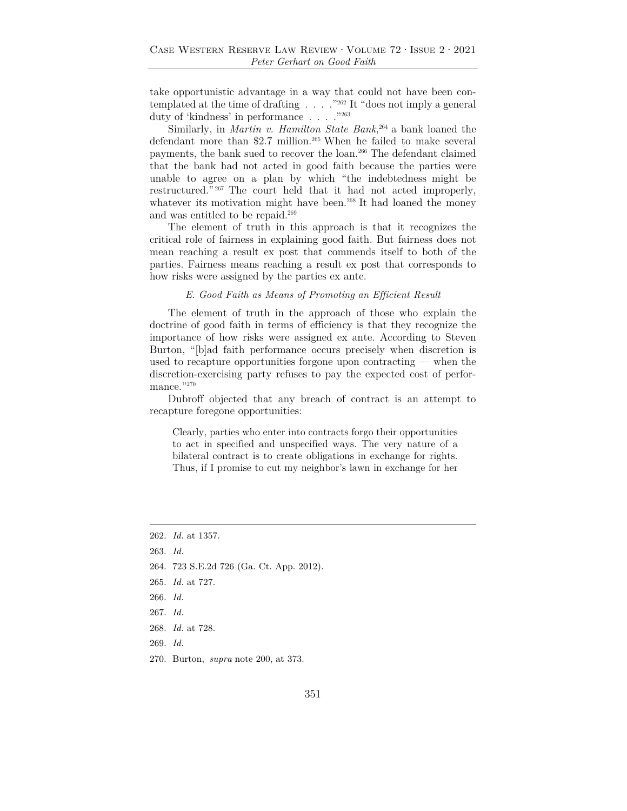take opportunistic advantage in a way that could not have been contemplated at the time of drafting . . . ."262 It "does not imply a general duty of 'kindness' in performance . . . . . "263

Similarly, in *Martin v. Hamilton State Bank*, 264 a bank loaned the defendant more than \$2.7 million.<sup>265</sup> When he failed to make several payments, the bank sued to recover the loan.266 The defendant claimed that the bank had not acted in good faith because the parties were unable to agree on a plan by which "the indebtedness might be restructured." 267 The court held that it had not acted improperly, whatever its motivation might have been.<sup>268</sup> It had loaned the money and was entitled to be repaid. $^{269}\,$ 

The element of truth in this approach is that it recognizes the critical role of fairness in explaining good faith. But fairness does not mean reaching a result ex post that commends itself to both of the parties. Fairness means reaching a result ex post that corresponds to how risks were assigned by the parties ex ante.

# *E. Good Faith as Means of Promoting an Efficient Result*

The element of truth in the approach of those who explain the doctrine of good faith in terms of efficiency is that they recognize the importance of how risks were assigned ex ante. According to Steven Burton, "[b]ad faith performance occurs precisely when discretion is used to recapture opportunities forgone upon contracting  $-$  when the discretion-exercising party refuses to pay the expected cost of performance."270

Dubroff objected that any breach of contract is an attempt to recapture foregone opportunities:

Clearly, parties who enter into contracts forgo their opportunities to act in specified and unspecified ways. The very nature of a bilateral contract is to create obligations in exchange for rights. Thus, if I promise to cut my neighbor's lawn in exchange for her

- 264. 723 S.E.2d 726 (Ga. Ct. App. 2012).
- 265. *Id.* at 727.
- 266. *Id.*
- 267. *Id.*
- 268. *Id.* at 728.
- 269. *Id.*
- 270. Burton, *supra* note 200, at 373.

<sup>262.</sup> *Id.* at 1357.

<sup>263.</sup> *Id.*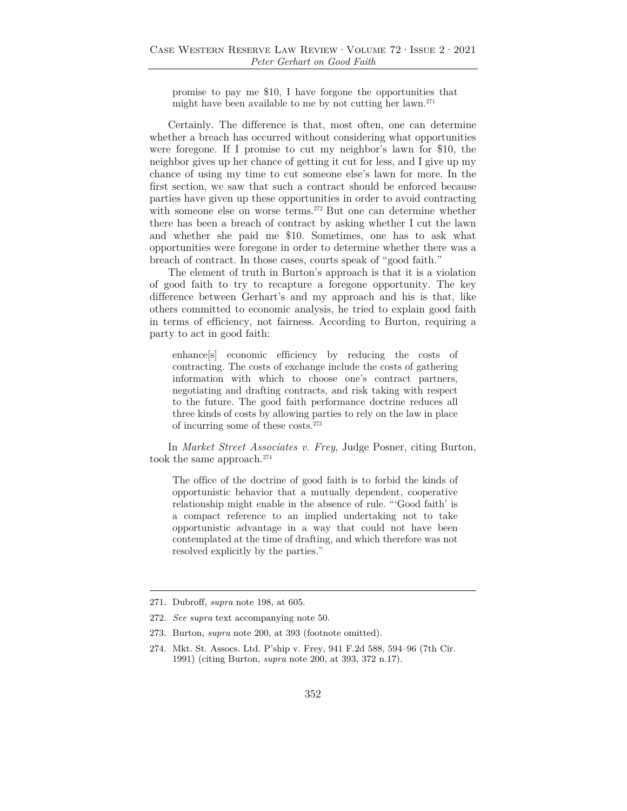promise to pay me \$10, I have forgone the opportunities that might have been available to me by not cutting her lawn.271

Certainly. The difference is that, most often, one can determine whether a breach has occurred without considering what opportunities were foregone. If I promise to cut my neighbor's lawn for \$10, the neighbor gives up her chance of getting it cut for less, and I give up my chance of using my time to cut someone else's lawn for more. In the first section, we saw that such a contract should be enforced because parties have given up these opportunities in order to avoid contracting with someone else on worse terms.<sup>272</sup> But one can determine whether there has been a breach of contract by asking whether I cut the lawn and whether she paid me \$10. Sometimes, one has to ask what opportunities were foregone in order to determine whether there was a breach of contract. In those cases, courts speak of "good faith."

The element of truth in Burton's approach is that it is a violation of good faith to try to recapture a foregone opportunity. The key difference between Gerhart's and my approach and his is that, like others committed to economic analysis, he tried to explain good faith in terms of efficiency, not fairness. According to Burton, requiring a party to act in good faith:

enhance[s] economic efficiency by reducing the costs of contracting. The costs of exchange include the costs of gathering information with which to choose one's contract partners, negotiating and drafting contracts, and risk taking with respect to the future. The good faith performance doctrine reduces all three kinds of costs by allowing parties to rely on the law in place of incurring some of these costs.273

In *Market Street Associates v. Frey*, Judge Posner, citing Burton, took the same approach.274

The office of the doctrine of good faith is to forbid the kinds of opportunistic behavior that a mutually dependent, cooperative relationship might enable in the absence of rule. "'Good faith' is a compact reference to an implied undertaking not to take opportunistic advantage in a way that could not have been contemplated at the time of drafting, and which therefore was not resolved explicitly by the parties."

- 273. Burton, *supra* note 200, at 393 (footnote omitted).
- 274. Mkt. St. Assocs. Ltd. P'ship v. Frey, 941 F.2d 588, 594–96 (7th Cir. 1991) (citing Burton, *supra* note 200, at 393, 372 n.17).

<sup>271.</sup> Dubroff, *supra* note 198, at 605.

<sup>272.</sup> *See supra* text accompanying note 50.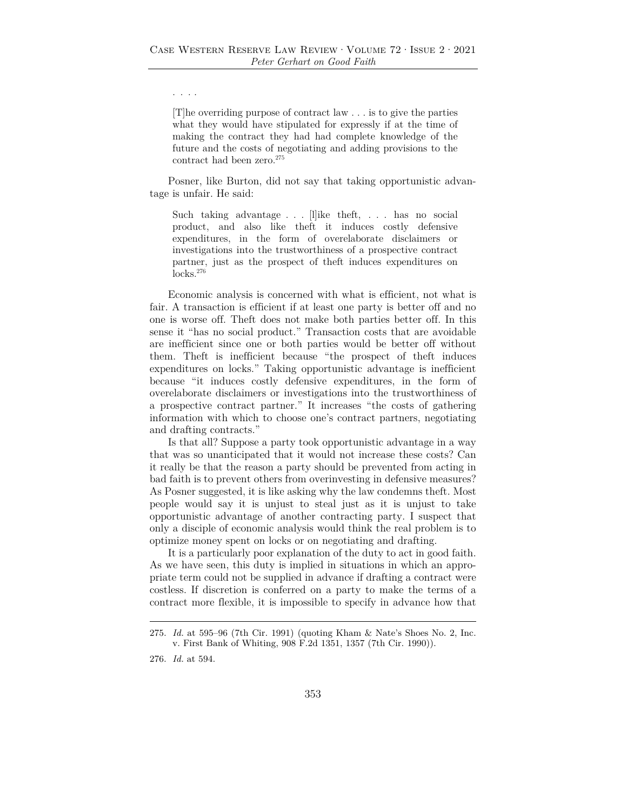#### . . . .

[T]he overriding purpose of contract law . . . is to give the parties what they would have stipulated for expressly if at the time of making the contract they had had complete knowledge of the future and the costs of negotiating and adding provisions to the contract had been zero.275

Posner, like Burton, did not say that taking opportunistic advantage is unfair. He said:

Such taking advantage . . . [l]ike theft, . . . has no social product, and also like theft it induces costly defensive expenditures, in the form of overelaborate disclaimers or investigations into the trustworthiness of a prospective contract partner, just as the prospect of theft induces expenditures on locks.276

Economic analysis is concerned with what is efficient, not what is fair. A transaction is efficient if at least one party is better off and no one is worse off. Theft does not make both parties better off. In this sense it "has no social product." Transaction costs that are avoidable are inefficient since one or both parties would be better off without them. Theft is inefficient because "the prospect of theft induces expenditures on locks." Taking opportunistic advantage is inefficient because "it induces costly defensive expenditures, in the form of overelaborate disclaimers or investigations into the trustworthiness of a prospective contract partner." It increases "the costs of gathering information with which to choose one's contract partners, negotiating and drafting contracts."

Is that all? Suppose a party took opportunistic advantage in a way that was so unanticipated that it would not increase these costs? Can it really be that the reason a party should be prevented from acting in bad faith is to prevent others from overinvesting in defensive measures? As Posner suggested, it is like asking why the law condemns theft. Most people would say it is unjust to steal just as it is unjust to take opportunistic advantage of another contracting party. I suspect that only a disciple of economic analysis would think the real problem is to optimize money spent on locks or on negotiating and drafting.

It is a particularly poor explanation of the duty to act in good faith. As we have seen, this duty is implied in situations in which an appropriate term could not be supplied in advance if drafting a contract were costless. If discretion is conferred on a party to make the terms of a contract more flexible, it is impossible to specify in advance how that

<sup>275.</sup> *Id.* at 595–96 (7th Cir. 1991) (quoting Kham & Nate's Shoes No. 2, Inc. v. First Bank of Whiting, 908 F.2d 1351, 1357 (7th Cir. 1990)).

<sup>276.</sup> *Id.* at 594.